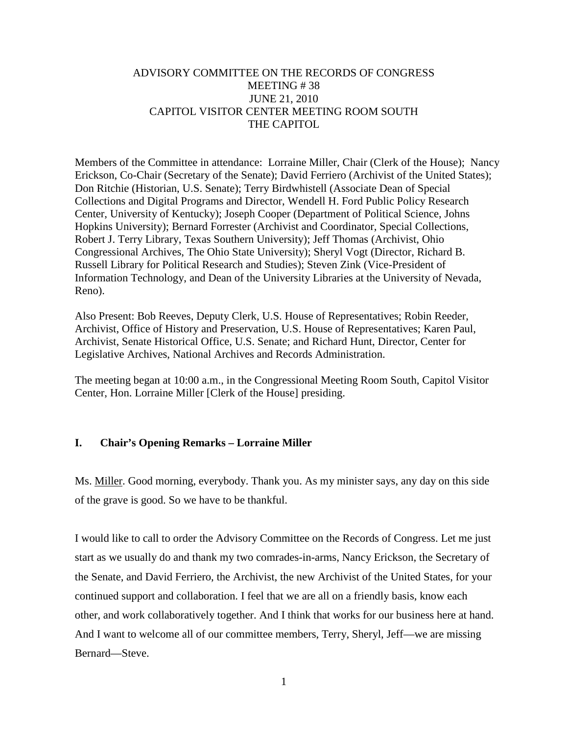# ADVISORY COMMITTEE ON THE RECORDS OF CONGRESS MEETING # 38 JUNE 21, 2010 CAPITOL VISITOR CENTER MEETING ROOM SOUTH THE CAPITOL

Members of the Committee in attendance: Lorraine Miller, Chair (Clerk of the House); Nancy Erickson, Co-Chair (Secretary of the Senate); David Ferriero (Archivist of the United States); Don Ritchie (Historian, U.S. Senate); Terry Birdwhistell (Associate Dean of Special Collections and Digital Programs and Director, Wendell H. Ford Public Policy Research Center, University of Kentucky); Joseph Cooper (Department of Political Science, Johns Hopkins University); Bernard Forrester (Archivist and Coordinator, Special Collections, Robert J. Terry Library, Texas Southern University); Jeff Thomas (Archivist, Ohio Congressional Archives, The Ohio State University); Sheryl Vogt (Director, Richard B. Russell Library for Political Research and Studies); Steven Zink (Vice-President of Information Technology, and Dean of the University Libraries at the University of Nevada, Reno).

Also Present: Bob Reeves, Deputy Clerk, U.S. House of Representatives; Robin Reeder, Archivist, Office of History and Preservation, U.S. House of Representatives; Karen Paul, Archivist, Senate Historical Office, U.S. Senate; and Richard Hunt, Director, Center for Legislative Archives, National Archives and Records Administration.

The meeting began at 10:00 a.m., in the Congressional Meeting Room South, Capitol Visitor Center, Hon. Lorraine Miller [Clerk of the House] presiding.

## **I. Chair's Opening Remarks – Lorraine Miller**

Ms. Miller. Good morning, everybody. Thank you. As my minister says, any day on this side of the grave is good. So we have to be thankful.

I would like to call to order the Advisory Committee on the Records of Congress. Let me just start as we usually do and thank my two comrades-in-arms, Nancy Erickson, the Secretary of the Senate, and David Ferriero, the Archivist, the new Archivist of the United States, for your continued support and collaboration. I feel that we are all on a friendly basis, know each other, and work collaboratively together. And I think that works for our business here at hand. And I want to welcome all of our committee members, Terry, Sheryl, Jeff—we are missing Bernard—Steve.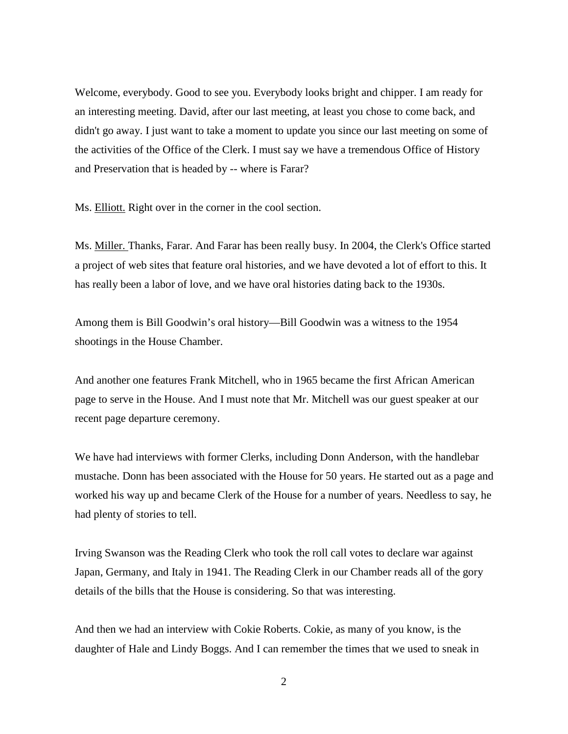Welcome, everybody. Good to see you. Everybody looks bright and chipper. I am ready for an interesting meeting. David, after our last meeting, at least you chose to come back, and didn't go away. I just want to take a moment to update you since our last meeting on some of the activities of the Office of the Clerk. I must say we have a tremendous Office of History and Preservation that is headed by -- where is Farar?

Ms. Elliott. Right over in the corner in the cool section.

Ms. Miller. Thanks, Farar. And Farar has been really busy. In 2004, the Clerk's Office started a project of web sites that feature oral histories, and we have devoted a lot of effort to this. It has really been a labor of love, and we have oral histories dating back to the 1930s.

Among them is Bill Goodwin's oral history—Bill Goodwin was a witness to the 1954 shootings in the House Chamber.

And another one features Frank Mitchell, who in 1965 became the first African American page to serve in the House. And I must note that Mr. Mitchell was our guest speaker at our recent page departure ceremony.

We have had interviews with former Clerks, including Donn Anderson, with the handlebar mustache. Donn has been associated with the House for 50 years. He started out as a page and worked his way up and became Clerk of the House for a number of years. Needless to say, he had plenty of stories to tell.

Irving Swanson was the Reading Clerk who took the roll call votes to declare war against Japan, Germany, and Italy in 1941. The Reading Clerk in our Chamber reads all of the gory details of the bills that the House is considering. So that was interesting.

And then we had an interview with Cokie Roberts. Cokie, as many of you know, is the daughter of Hale and Lindy Boggs. And I can remember the times that we used to sneak in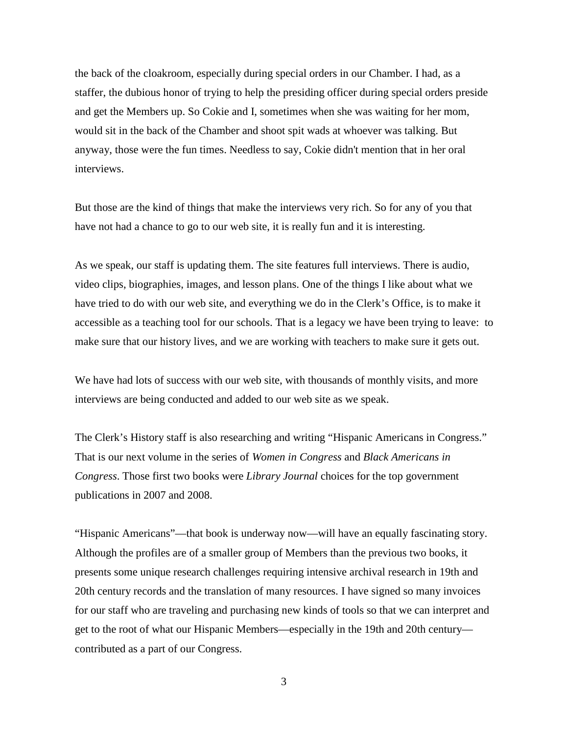the back of the cloakroom, especially during special orders in our Chamber. I had, as a staffer, the dubious honor of trying to help the presiding officer during special orders preside and get the Members up. So Cokie and I, sometimes when she was waiting for her mom, would sit in the back of the Chamber and shoot spit wads at whoever was talking. But anyway, those were the fun times. Needless to say, Cokie didn't mention that in her oral interviews.

But those are the kind of things that make the interviews very rich. So for any of you that have not had a chance to go to our web site, it is really fun and it is interesting.

As we speak, our staff is updating them. The site features full interviews. There is audio, video clips, biographies, images, and lesson plans. One of the things I like about what we have tried to do with our web site, and everything we do in the Clerk's Office, is to make it accessible as a teaching tool for our schools. That is a legacy we have been trying to leave: to make sure that our history lives, and we are working with teachers to make sure it gets out.

We have had lots of success with our web site, with thousands of monthly visits, and more interviews are being conducted and added to our web site as we speak.

The Clerk's History staff is also researching and writing "Hispanic Americans in Congress." That is our next volume in the series of *Women in Congress* and *Black Americans in Congress*. Those first two books were *Library Journal* choices for the top government publications in 2007 and 2008.

"Hispanic Americans"—that book is underway now—will have an equally fascinating story. Although the profiles are of a smaller group of Members than the previous two books, it presents some unique research challenges requiring intensive archival research in 19th and 20th century records and the translation of many resources. I have signed so many invoices for our staff who are traveling and purchasing new kinds of tools so that we can interpret and get to the root of what our Hispanic Members—especially in the 19th and 20th century contributed as a part of our Congress.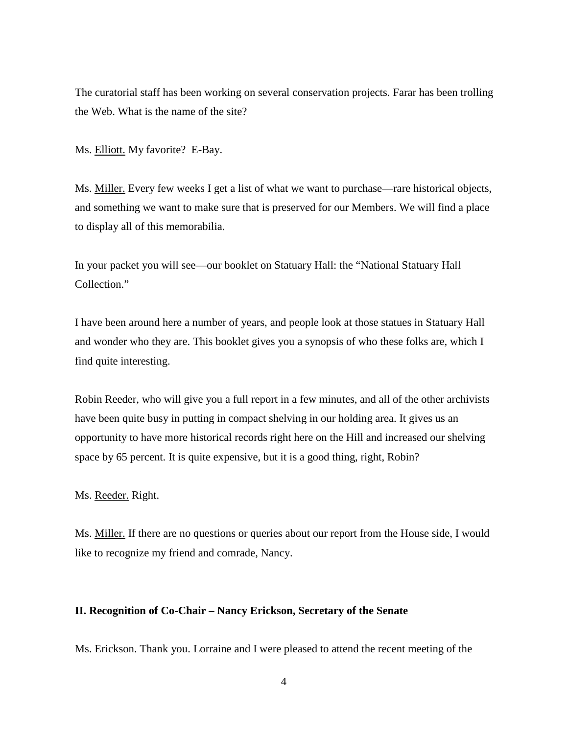The curatorial staff has been working on several conservation projects. Farar has been trolling the Web. What is the name of the site?

Ms. Elliott. My favorite? E-Bay.

Ms. Miller. Every few weeks I get a list of what we want to purchase—rare historical objects, and something we want to make sure that is preserved for our Members. We will find a place to display all of this memorabilia.

In your packet you will see—our booklet on Statuary Hall: the "National Statuary Hall Collection."

I have been around here a number of years, and people look at those statues in Statuary Hall and wonder who they are. This booklet gives you a synopsis of who these folks are, which I find quite interesting.

Robin Reeder, who will give you a full report in a few minutes, and all of the other archivists have been quite busy in putting in compact shelving in our holding area. It gives us an opportunity to have more historical records right here on the Hill and increased our shelving space by 65 percent. It is quite expensive, but it is a good thing, right, Robin?

Ms. Reeder. Right.

Ms. Miller. If there are no questions or queries about our report from the House side, I would like to recognize my friend and comrade, Nancy.

## **II. Recognition of Co-Chair – Nancy Erickson, Secretary of the Senate**

Ms. Erickson. Thank you. Lorraine and I were pleased to attend the recent meeting of the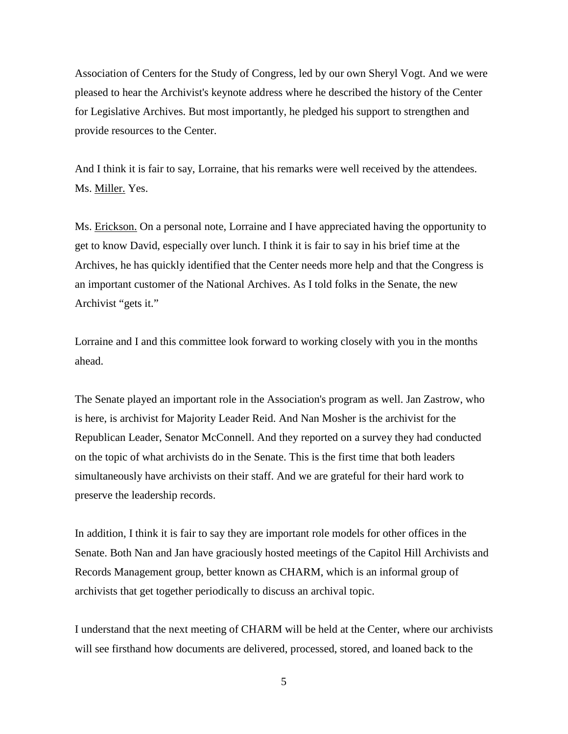Association of Centers for the Study of Congress, led by our own Sheryl Vogt. And we were pleased to hear the Archivist's keynote address where he described the history of the Center for Legislative Archives. But most importantly, he pledged his support to strengthen and provide resources to the Center.

And I think it is fair to say, Lorraine, that his remarks were well received by the attendees. Ms. Miller. Yes.

Ms. Erickson. On a personal note, Lorraine and I have appreciated having the opportunity to get to know David, especially over lunch. I think it is fair to say in his brief time at the Archives, he has quickly identified that the Center needs more help and that the Congress is an important customer of the National Archives. As I told folks in the Senate, the new Archivist "gets it."

Lorraine and I and this committee look forward to working closely with you in the months ahead.

The Senate played an important role in the Association's program as well. Jan Zastrow, who is here, is archivist for Majority Leader Reid. And Nan Mosher is the archivist for the Republican Leader, Senator McConnell. And they reported on a survey they had conducted on the topic of what archivists do in the Senate. This is the first time that both leaders simultaneously have archivists on their staff. And we are grateful for their hard work to preserve the leadership records.

In addition, I think it is fair to say they are important role models for other offices in the Senate. Both Nan and Jan have graciously hosted meetings of the Capitol Hill Archivists and Records Management group, better known as CHARM, which is an informal group of archivists that get together periodically to discuss an archival topic.

I understand that the next meeting of CHARM will be held at the Center, where our archivists will see firsthand how documents are delivered, processed, stored, and loaned back to the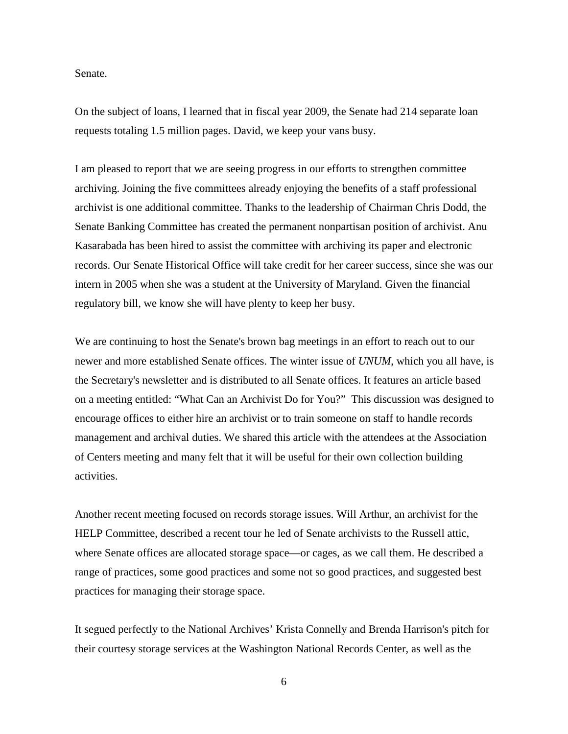Senate.

On the subject of loans, I learned that in fiscal year 2009, the Senate had 214 separate loan requests totaling 1.5 million pages. David, we keep your vans busy.

I am pleased to report that we are seeing progress in our efforts to strengthen committee archiving. Joining the five committees already enjoying the benefits of a staff professional archivist is one additional committee. Thanks to the leadership of Chairman Chris Dodd, the Senate Banking Committee has created the permanent nonpartisan position of archivist. Anu Kasarabada has been hired to assist the committee with archiving its paper and electronic records. Our Senate Historical Office will take credit for her career success, since she was our intern in 2005 when she was a student at the University of Maryland. Given the financial regulatory bill, we know she will have plenty to keep her busy.

We are continuing to host the Senate's brown bag meetings in an effort to reach out to our newer and more established Senate offices. The winter issue of *UNUM*, which you all have, is the Secretary's newsletter and is distributed to all Senate offices. It features an article based on a meeting entitled: "What Can an Archivist Do for You?" This discussion was designed to encourage offices to either hire an archivist or to train someone on staff to handle records management and archival duties. We shared this article with the attendees at the Association of Centers meeting and many felt that it will be useful for their own collection building activities.

Another recent meeting focused on records storage issues. Will Arthur, an archivist for the HELP Committee, described a recent tour he led of Senate archivists to the Russell attic, where Senate offices are allocated storage space—or cages, as we call them. He described a range of practices, some good practices and some not so good practices, and suggested best practices for managing their storage space.

It segued perfectly to the National Archives' Krista Connelly and Brenda Harrison's pitch for their courtesy storage services at the Washington National Records Center, as well as the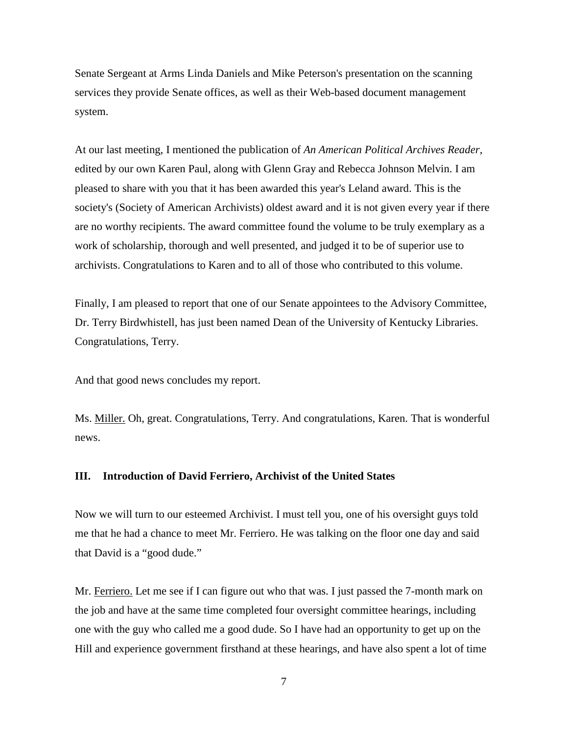Senate Sergeant at Arms Linda Daniels and Mike Peterson's presentation on the scanning services they provide Senate offices, as well as their Web-based document management system.

At our last meeting, I mentioned the publication of *An American Political Archives Reader*, edited by our own Karen Paul, along with Glenn Gray and Rebecca Johnson Melvin. I am pleased to share with you that it has been awarded this year's Leland award. This is the society's (Society of American Archivists) oldest award and it is not given every year if there are no worthy recipients. The award committee found the volume to be truly exemplary as a work of scholarship, thorough and well presented, and judged it to be of superior use to archivists. Congratulations to Karen and to all of those who contributed to this volume.

Finally, I am pleased to report that one of our Senate appointees to the Advisory Committee, Dr. Terry Birdwhistell, has just been named Dean of the University of Kentucky Libraries. Congratulations, Terry.

And that good news concludes my report.

Ms. Miller. Oh, great. Congratulations, Terry. And congratulations, Karen. That is wonderful news.

## **III. Introduction of David Ferriero, Archivist of the United States**

Now we will turn to our esteemed Archivist. I must tell you, one of his oversight guys told me that he had a chance to meet Mr. Ferriero. He was talking on the floor one day and said that David is a "good dude."

Mr. Ferriero. Let me see if I can figure out who that was. I just passed the 7-month mark on the job and have at the same time completed four oversight committee hearings, including one with the guy who called me a good dude. So I have had an opportunity to get up on the Hill and experience government firsthand at these hearings, and have also spent a lot of time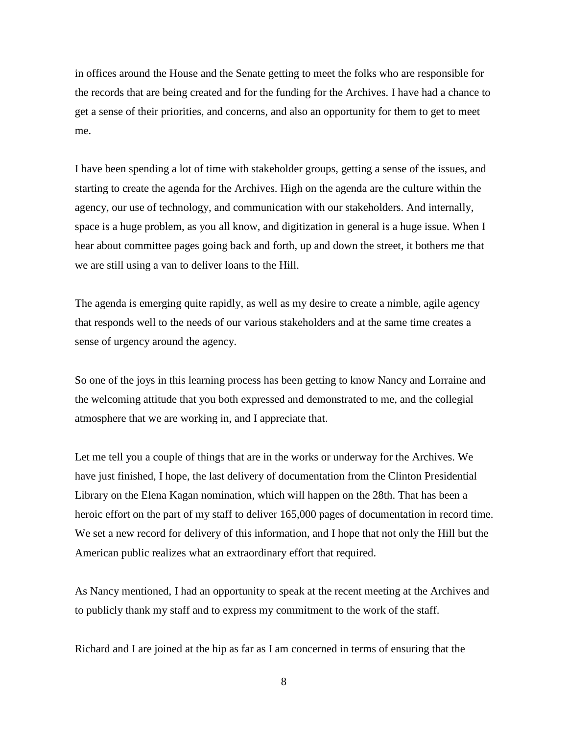in offices around the House and the Senate getting to meet the folks who are responsible for the records that are being created and for the funding for the Archives. I have had a chance to get a sense of their priorities, and concerns, and also an opportunity for them to get to meet me.

I have been spending a lot of time with stakeholder groups, getting a sense of the issues, and starting to create the agenda for the Archives. High on the agenda are the culture within the agency, our use of technology, and communication with our stakeholders. And internally, space is a huge problem, as you all know, and digitization in general is a huge issue. When I hear about committee pages going back and forth, up and down the street, it bothers me that we are still using a van to deliver loans to the Hill.

The agenda is emerging quite rapidly, as well as my desire to create a nimble, agile agency that responds well to the needs of our various stakeholders and at the same time creates a sense of urgency around the agency.

So one of the joys in this learning process has been getting to know Nancy and Lorraine and the welcoming attitude that you both expressed and demonstrated to me, and the collegial atmosphere that we are working in, and I appreciate that.

Let me tell you a couple of things that are in the works or underway for the Archives. We have just finished, I hope, the last delivery of documentation from the Clinton Presidential Library on the Elena Kagan nomination, which will happen on the 28th. That has been a heroic effort on the part of my staff to deliver 165,000 pages of documentation in record time. We set a new record for delivery of this information, and I hope that not only the Hill but the American public realizes what an extraordinary effort that required.

As Nancy mentioned, I had an opportunity to speak at the recent meeting at the Archives and to publicly thank my staff and to express my commitment to the work of the staff.

Richard and I are joined at the hip as far as I am concerned in terms of ensuring that the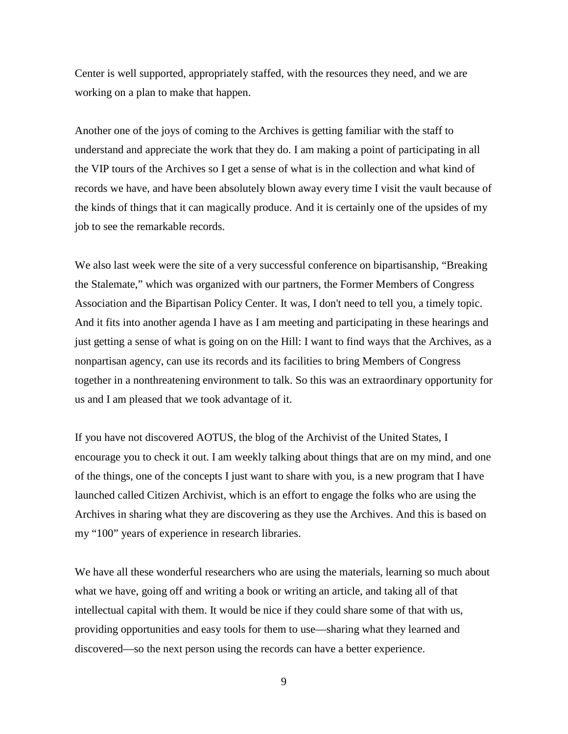Center is well supported, appropriately staffed, with the resources they need, and we are working on a plan to make that happen.

Another one of the joys of coming to the Archives is getting familiar with the staff to understand and appreciate the work that they do. I am making a point of participating in all the VIP tours of the Archives so I get a sense of what is in the collection and what kind of records we have, and have been absolutely blown away every time I visit the vault because of the kinds of things that it can magically produce. And it is certainly one of the upsides of my job to see the remarkable records.

We also last week were the site of a very successful conference on bipartisanship, "Breaking" the Stalemate," which was organized with our partners, the Former Members of Congress Association and the Bipartisan Policy Center. It was, I don't need to tell you, a timely topic. And it fits into another agenda I have as I am meeting and participating in these hearings and just getting a sense of what is going on on the Hill: I want to find ways that the Archives, as a nonpartisan agency, can use its records and its facilities to bring Members of Congress together in a nonthreatening environment to talk. So this was an extraordinary opportunity for us and I am pleased that we took advantage of it.

If you have not discovered AOTUS, the blog of the Archivist of the United States, I encourage you to check it out. I am weekly talking about things that are on my mind, and one of the things, one of the concepts I just want to share with you, is a new program that I have launched called Citizen Archivist, which is an effort to engage the folks who are using the Archives in sharing what they are discovering as they use the Archives. And this is based on my "100" years of experience in research libraries.

We have all these wonderful researchers who are using the materials, learning so much about what we have, going off and writing a book or writing an article, and taking all of that intellectual capital with them. It would be nice if they could share some of that with us, providing opportunities and easy tools for them to use—sharing what they learned and discovered—so the next person using the records can have a better experience.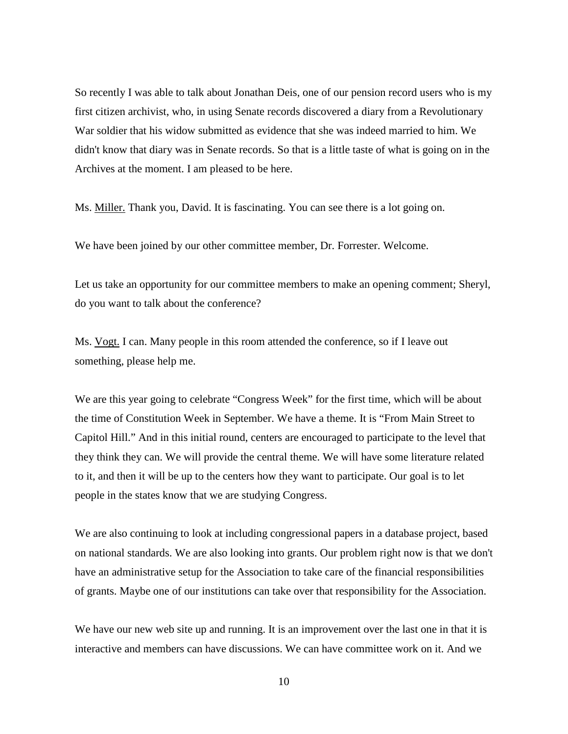So recently I was able to talk about Jonathan Deis, one of our pension record users who is my first citizen archivist, who, in using Senate records discovered a diary from a Revolutionary War soldier that his widow submitted as evidence that she was indeed married to him. We didn't know that diary was in Senate records. So that is a little taste of what is going on in the Archives at the moment. I am pleased to be here.

Ms. Miller. Thank you, David. It is fascinating. You can see there is a lot going on.

We have been joined by our other committee member, Dr. Forrester. Welcome.

Let us take an opportunity for our committee members to make an opening comment; Sheryl, do you want to talk about the conference?

Ms. Vogt. I can. Many people in this room attended the conference, so if I leave out something, please help me.

We are this year going to celebrate "Congress Week" for the first time, which will be about the time of Constitution Week in September. We have a theme. It is "From Main Street to Capitol Hill." And in this initial round, centers are encouraged to participate to the level that they think they can. We will provide the central theme. We will have some literature related to it, and then it will be up to the centers how they want to participate. Our goal is to let people in the states know that we are studying Congress.

We are also continuing to look at including congressional papers in a database project, based on national standards. We are also looking into grants. Our problem right now is that we don't have an administrative setup for the Association to take care of the financial responsibilities of grants. Maybe one of our institutions can take over that responsibility for the Association.

We have our new web site up and running. It is an improvement over the last one in that it is interactive and members can have discussions. We can have committee work on it. And we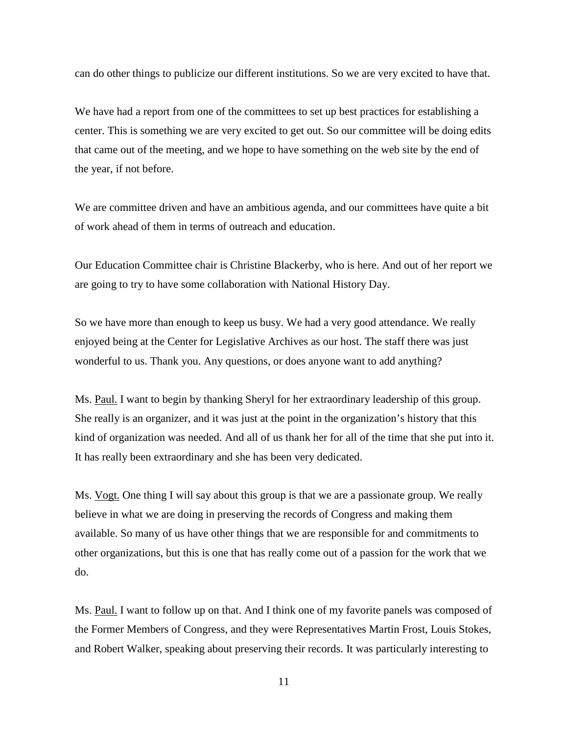can do other things to publicize our different institutions. So we are very excited to have that.

We have had a report from one of the committees to set up best practices for establishing a center. This is something we are very excited to get out. So our committee will be doing edits that came out of the meeting, and we hope to have something on the web site by the end of the year, if not before.

We are committee driven and have an ambitious agenda, and our committees have quite a bit of work ahead of them in terms of outreach and education.

Our Education Committee chair is Christine Blackerby, who is here. And out of her report we are going to try to have some collaboration with National History Day.

So we have more than enough to keep us busy. We had a very good attendance. We really enjoyed being at the Center for Legislative Archives as our host. The staff there was just wonderful to us. Thank you. Any questions, or does anyone want to add anything?

Ms. Paul. I want to begin by thanking Sheryl for her extraordinary leadership of this group. She really is an organizer, and it was just at the point in the organization's history that this kind of organization was needed. And all of us thank her for all of the time that she put into it. It has really been extraordinary and she has been very dedicated.

Ms. Vogt. One thing I will say about this group is that we are a passionate group. We really believe in what we are doing in preserving the records of Congress and making them available. So many of us have other things that we are responsible for and commitments to other organizations, but this is one that has really come out of a passion for the work that we do.

Ms. Paul. I want to follow up on that. And I think one of my favorite panels was composed of the Former Members of Congress, and they were Representatives Martin Frost, Louis Stokes, and Robert Walker, speaking about preserving their records. It was particularly interesting to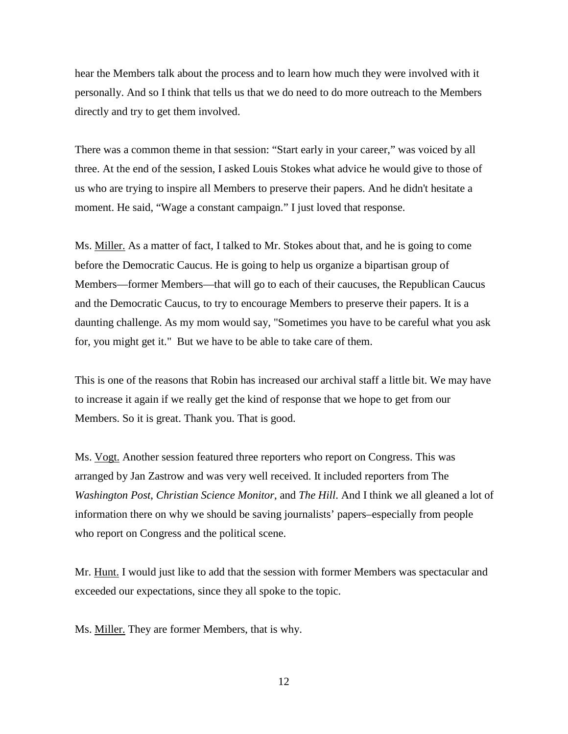hear the Members talk about the process and to learn how much they were involved with it personally. And so I think that tells us that we do need to do more outreach to the Members directly and try to get them involved.

There was a common theme in that session: "Start early in your career," was voiced by all three. At the end of the session, I asked Louis Stokes what advice he would give to those of us who are trying to inspire all Members to preserve their papers. And he didn't hesitate a moment. He said, "Wage a constant campaign." I just loved that response.

Ms. Miller. As a matter of fact, I talked to Mr. Stokes about that, and he is going to come before the Democratic Caucus. He is going to help us organize a bipartisan group of Members—former Members—that will go to each of their caucuses, the Republican Caucus and the Democratic Caucus, to try to encourage Members to preserve their papers. It is a daunting challenge. As my mom would say, "Sometimes you have to be careful what you ask for, you might get it." But we have to be able to take care of them.

This is one of the reasons that Robin has increased our archival staff a little bit. We may have to increase it again if we really get the kind of response that we hope to get from our Members. So it is great. Thank you. That is good.

Ms. Vogt. Another session featured three reporters who report on Congress. This was arranged by Jan Zastrow and was very well received. It included reporters from The *Washington Post*, *Christian Science Monitor*, and *The Hill*. And I think we all gleaned a lot of information there on why we should be saving journalists' papers–especially from people who report on Congress and the political scene.

Mr. Hunt. I would just like to add that the session with former Members was spectacular and exceeded our expectations, since they all spoke to the topic.

Ms. **Miller.** They are former Members, that is why.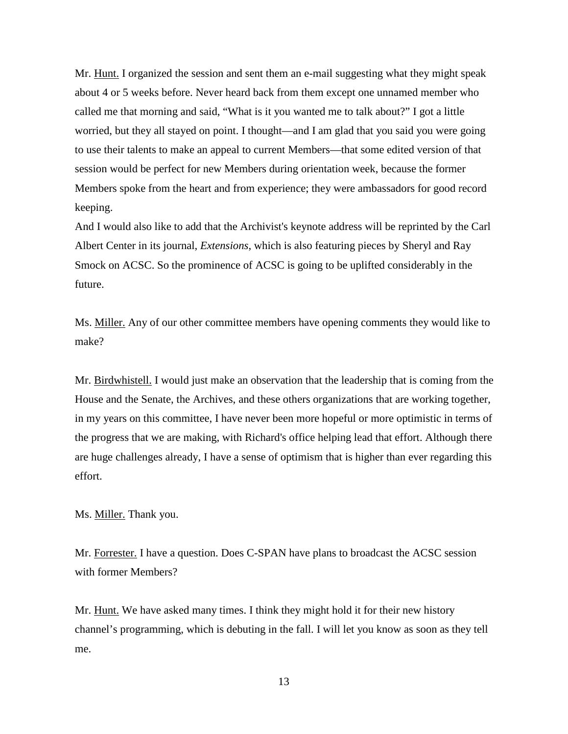Mr. Hunt. I organized the session and sent them an e-mail suggesting what they might speak about 4 or 5 weeks before. Never heard back from them except one unnamed member who called me that morning and said, "What is it you wanted me to talk about?" I got a little worried, but they all stayed on point. I thought—and I am glad that you said you were going to use their talents to make an appeal to current Members—that some edited version of that session would be perfect for new Members during orientation week, because the former Members spoke from the heart and from experience; they were ambassadors for good record keeping.

And I would also like to add that the Archivist's keynote address will be reprinted by the Carl Albert Center in its journal, *Extensions*, which is also featuring pieces by Sheryl and Ray Smock on ACSC. So the prominence of ACSC is going to be uplifted considerably in the future.

Ms. Miller. Any of our other committee members have opening comments they would like to make?

Mr. Birdwhistell. I would just make an observation that the leadership that is coming from the House and the Senate, the Archives, and these others organizations that are working together, in my years on this committee, I have never been more hopeful or more optimistic in terms of the progress that we are making, with Richard's office helping lead that effort. Although there are huge challenges already, I have a sense of optimism that is higher than ever regarding this effort.

Ms. Miller. Thank you.

Mr. Forrester. I have a question. Does C-SPAN have plans to broadcast the ACSC session with former Members?

Mr. Hunt. We have asked many times. I think they might hold it for their new history channel's programming, which is debuting in the fall. I will let you know as soon as they tell me.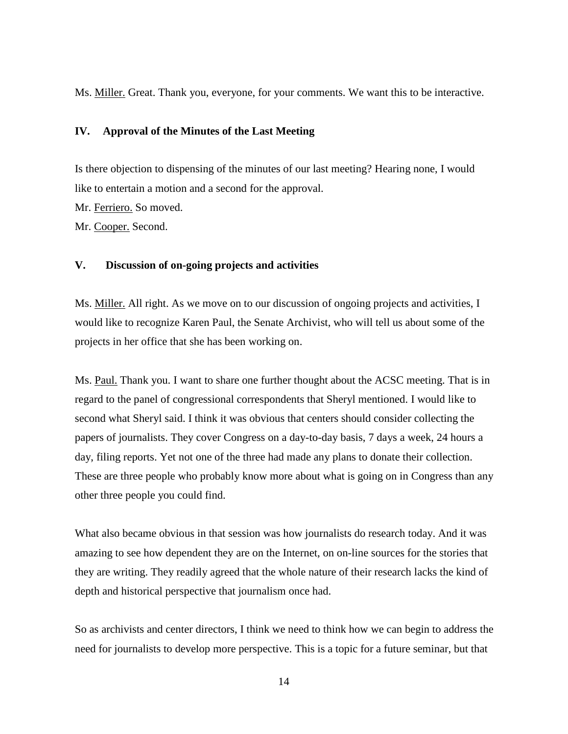Ms. Miller. Great. Thank you, everyone, for your comments. We want this to be interactive.

## **IV. Approval of the Minutes of the Last Meeting**

Is there objection to dispensing of the minutes of our last meeting? Hearing none, I would like to entertain a motion and a second for the approval.

Mr. Ferriero. So moved.

Mr. Cooper. Second.

## **V. Discussion of on-going projects and activities**

Ms. Miller. All right. As we move on to our discussion of ongoing projects and activities, I would like to recognize Karen Paul, the Senate Archivist, who will tell us about some of the projects in her office that she has been working on.

Ms. Paul. Thank you. I want to share one further thought about the ACSC meeting. That is in regard to the panel of congressional correspondents that Sheryl mentioned. I would like to second what Sheryl said. I think it was obvious that centers should consider collecting the papers of journalists. They cover Congress on a day-to-day basis, 7 days a week, 24 hours a day, filing reports. Yet not one of the three had made any plans to donate their collection. These are three people who probably know more about what is going on in Congress than any other three people you could find.

What also became obvious in that session was how journalists do research today. And it was amazing to see how dependent they are on the Internet, on on-line sources for the stories that they are writing. They readily agreed that the whole nature of their research lacks the kind of depth and historical perspective that journalism once had.

So as archivists and center directors, I think we need to think how we can begin to address the need for journalists to develop more perspective. This is a topic for a future seminar, but that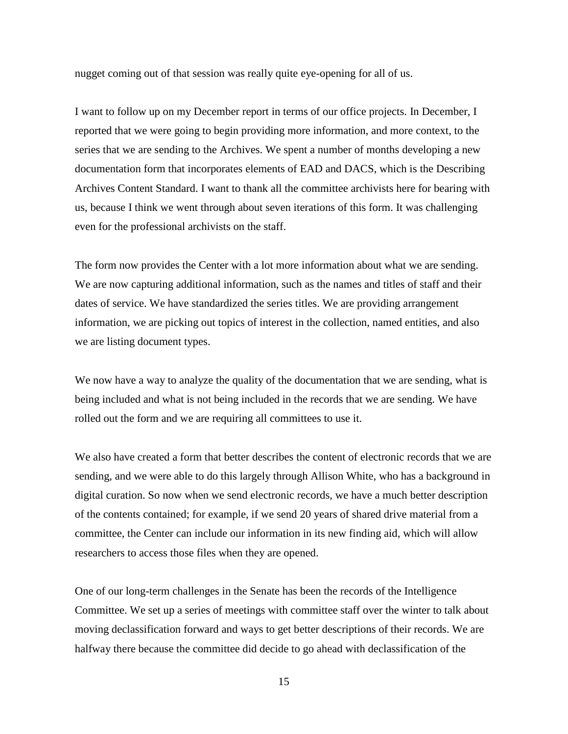nugget coming out of that session was really quite eye-opening for all of us.

I want to follow up on my December report in terms of our office projects. In December, I reported that we were going to begin providing more information, and more context, to the series that we are sending to the Archives. We spent a number of months developing a new documentation form that incorporates elements of EAD and DACS, which is the Describing Archives Content Standard. I want to thank all the committee archivists here for bearing with us, because I think we went through about seven iterations of this form. It was challenging even for the professional archivists on the staff.

The form now provides the Center with a lot more information about what we are sending. We are now capturing additional information, such as the names and titles of staff and their dates of service. We have standardized the series titles. We are providing arrangement information, we are picking out topics of interest in the collection, named entities, and also we are listing document types.

We now have a way to analyze the quality of the documentation that we are sending, what is being included and what is not being included in the records that we are sending. We have rolled out the form and we are requiring all committees to use it.

We also have created a form that better describes the content of electronic records that we are sending, and we were able to do this largely through Allison White, who has a background in digital curation. So now when we send electronic records, we have a much better description of the contents contained; for example, if we send 20 years of shared drive material from a committee, the Center can include our information in its new finding aid, which will allow researchers to access those files when they are opened.

One of our long-term challenges in the Senate has been the records of the Intelligence Committee. We set up a series of meetings with committee staff over the winter to talk about moving declassification forward and ways to get better descriptions of their records. We are halfway there because the committee did decide to go ahead with declassification of the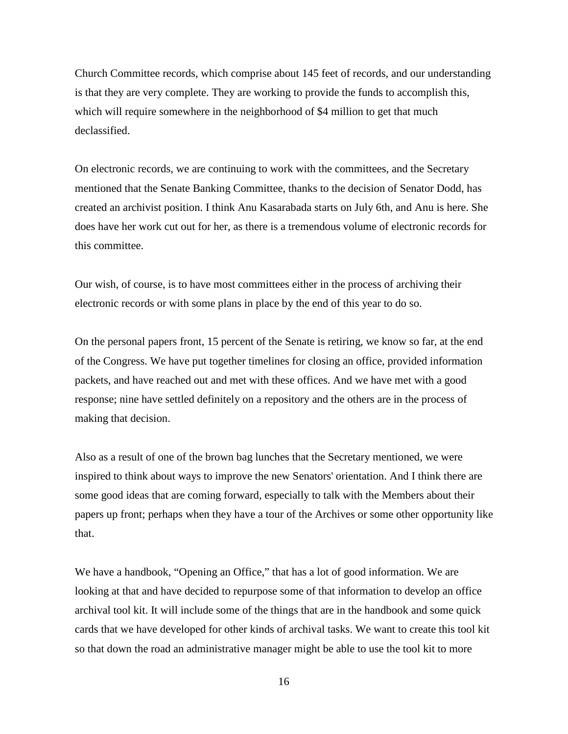Church Committee records, which comprise about 145 feet of records, and our understanding is that they are very complete. They are working to provide the funds to accomplish this, which will require somewhere in the neighborhood of \$4 million to get that much declassified.

On electronic records, we are continuing to work with the committees, and the Secretary mentioned that the Senate Banking Committee, thanks to the decision of Senator Dodd, has created an archivist position. I think Anu Kasarabada starts on July 6th, and Anu is here. She does have her work cut out for her, as there is a tremendous volume of electronic records for this committee.

Our wish, of course, is to have most committees either in the process of archiving their electronic records or with some plans in place by the end of this year to do so.

On the personal papers front, 15 percent of the Senate is retiring, we know so far, at the end of the Congress. We have put together timelines for closing an office, provided information packets, and have reached out and met with these offices. And we have met with a good response; nine have settled definitely on a repository and the others are in the process of making that decision.

Also as a result of one of the brown bag lunches that the Secretary mentioned, we were inspired to think about ways to improve the new Senators' orientation. And I think there are some good ideas that are coming forward, especially to talk with the Members about their papers up front; perhaps when they have a tour of the Archives or some other opportunity like that.

We have a handbook, "Opening an Office," that has a lot of good information. We are looking at that and have decided to repurpose some of that information to develop an office archival tool kit. It will include some of the things that are in the handbook and some quick cards that we have developed for other kinds of archival tasks. We want to create this tool kit so that down the road an administrative manager might be able to use the tool kit to more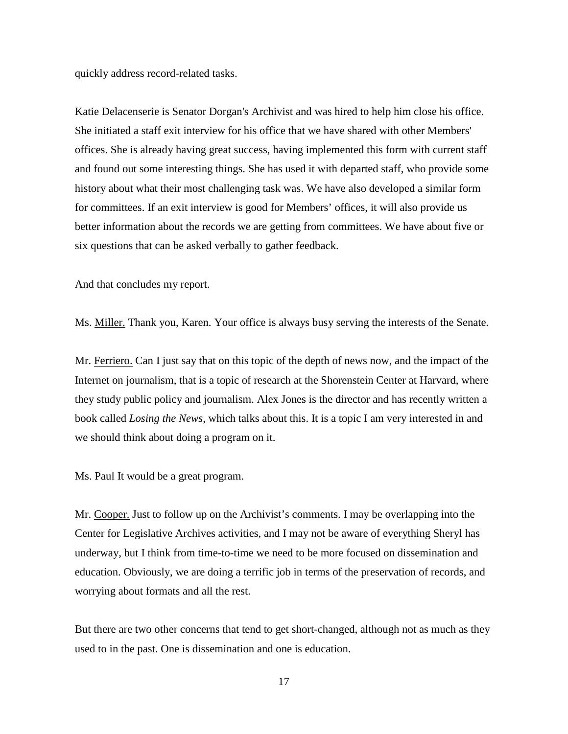quickly address record-related tasks.

Katie Delacenserie is Senator Dorgan's Archivist and was hired to help him close his office. She initiated a staff exit interview for his office that we have shared with other Members' offices. She is already having great success, having implemented this form with current staff and found out some interesting things. She has used it with departed staff, who provide some history about what their most challenging task was. We have also developed a similar form for committees. If an exit interview is good for Members' offices, it will also provide us better information about the records we are getting from committees. We have about five or six questions that can be asked verbally to gather feedback.

And that concludes my report.

Ms. Miller. Thank you, Karen. Your office is always busy serving the interests of the Senate.

Mr. Ferriero. Can I just say that on this topic of the depth of news now, and the impact of the Internet on journalism, that is a topic of research at the Shorenstein Center at Harvard, where they study public policy and journalism. Alex Jones is the director and has recently written a book called *Losing the News*, which talks about this. It is a topic I am very interested in and we should think about doing a program on it.

Ms. Paul It would be a great program.

Mr. Cooper. Just to follow up on the Archivist's comments. I may be overlapping into the Center for Legislative Archives activities, and I may not be aware of everything Sheryl has underway, but I think from time-to-time we need to be more focused on dissemination and education. Obviously, we are doing a terrific job in terms of the preservation of records, and worrying about formats and all the rest.

But there are two other concerns that tend to get short-changed, although not as much as they used to in the past. One is dissemination and one is education.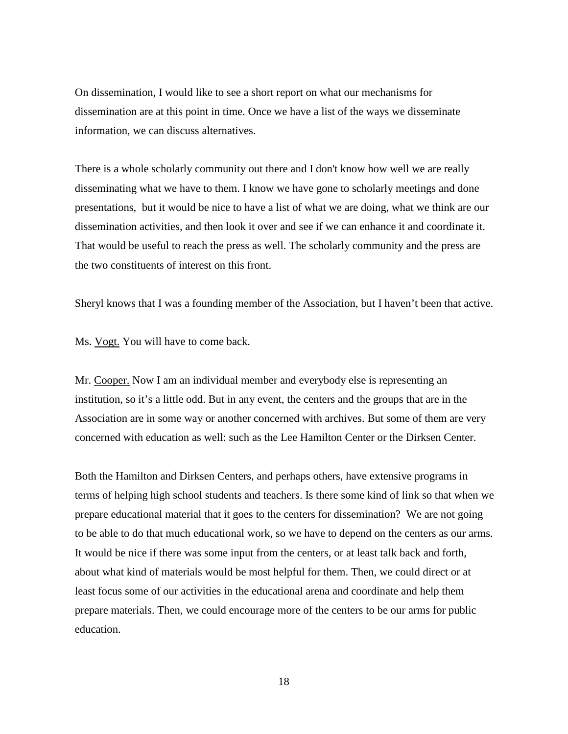On dissemination, I would like to see a short report on what our mechanisms for dissemination are at this point in time. Once we have a list of the ways we disseminate information, we can discuss alternatives.

There is a whole scholarly community out there and I don't know how well we are really disseminating what we have to them. I know we have gone to scholarly meetings and done presentations, but it would be nice to have a list of what we are doing, what we think are our dissemination activities, and then look it over and see if we can enhance it and coordinate it. That would be useful to reach the press as well. The scholarly community and the press are the two constituents of interest on this front.

Sheryl knows that I was a founding member of the Association, but I haven't been that active.

Ms. Vogt. You will have to come back.

Mr. Cooper. Now I am an individual member and everybody else is representing an institution, so it's a little odd. But in any event, the centers and the groups that are in the Association are in some way or another concerned with archives. But some of them are very concerned with education as well: such as the Lee Hamilton Center or the Dirksen Center.

Both the Hamilton and Dirksen Centers, and perhaps others, have extensive programs in terms of helping high school students and teachers. Is there some kind of link so that when we prepare educational material that it goes to the centers for dissemination? We are not going to be able to do that much educational work, so we have to depend on the centers as our arms. It would be nice if there was some input from the centers, or at least talk back and forth, about what kind of materials would be most helpful for them. Then, we could direct or at least focus some of our activities in the educational arena and coordinate and help them prepare materials. Then, we could encourage more of the centers to be our arms for public education.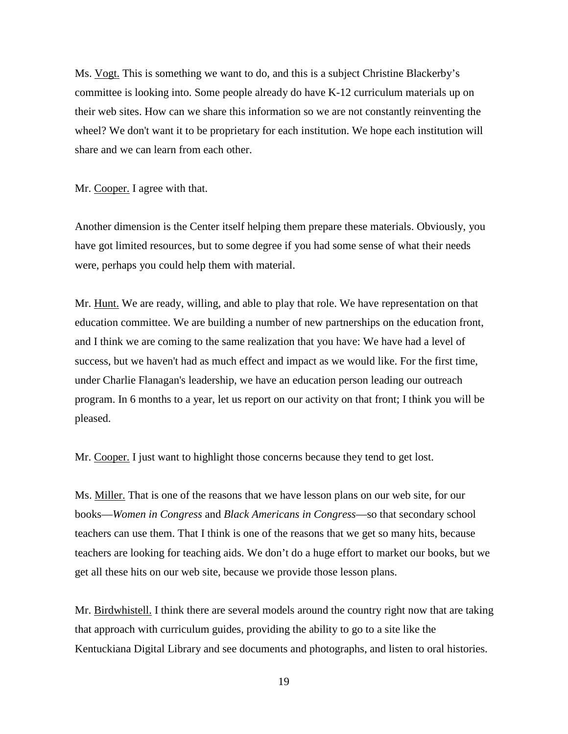Ms. Vogt. This is something we want to do, and this is a subject Christine Blackerby's committee is looking into. Some people already do have K-12 curriculum materials up on their web sites. How can we share this information so we are not constantly reinventing the wheel? We don't want it to be proprietary for each institution. We hope each institution will share and we can learn from each other.

Mr. Cooper. I agree with that.

Another dimension is the Center itself helping them prepare these materials. Obviously, you have got limited resources, but to some degree if you had some sense of what their needs were, perhaps you could help them with material.

Mr. Hunt. We are ready, willing, and able to play that role. We have representation on that education committee. We are building a number of new partnerships on the education front, and I think we are coming to the same realization that you have: We have had a level of success, but we haven't had as much effect and impact as we would like. For the first time, under Charlie Flanagan's leadership, we have an education person leading our outreach program. In 6 months to a year, let us report on our activity on that front; I think you will be pleased.

Mr. Cooper. I just want to highlight those concerns because they tend to get lost.

Ms. Miller. That is one of the reasons that we have lesson plans on our web site, for our books—*Women in Congress* and *Black Americans in Congress*—so that secondary school teachers can use them. That I think is one of the reasons that we get so many hits, because teachers are looking for teaching aids. We don't do a huge effort to market our books, but we get all these hits on our web site, because we provide those lesson plans.

Mr. Birdwhistell. I think there are several models around the country right now that are taking that approach with curriculum guides, providing the ability to go to a site like the Kentuckiana Digital Library and see documents and photographs, and listen to oral histories.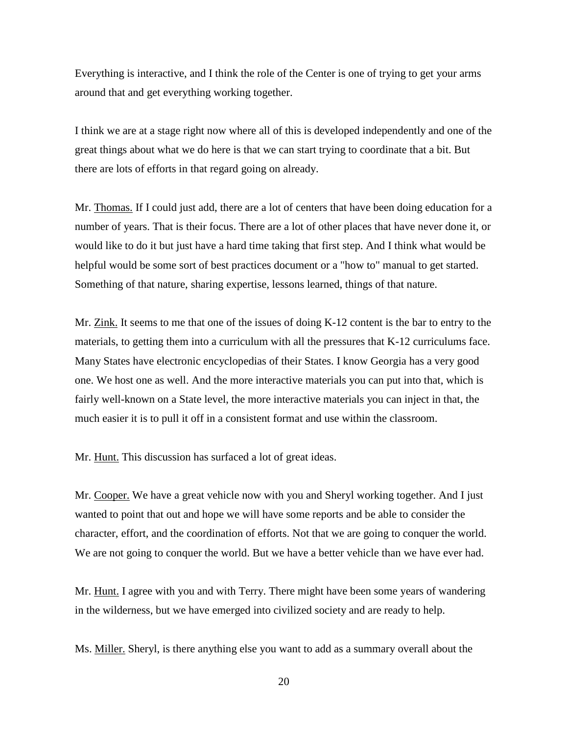Everything is interactive, and I think the role of the Center is one of trying to get your arms around that and get everything working together.

I think we are at a stage right now where all of this is developed independently and one of the great things about what we do here is that we can start trying to coordinate that a bit. But there are lots of efforts in that regard going on already.

Mr. Thomas. If I could just add, there are a lot of centers that have been doing education for a number of years. That is their focus. There are a lot of other places that have never done it, or would like to do it but just have a hard time taking that first step. And I think what would be helpful would be some sort of best practices document or a "how to" manual to get started. Something of that nature, sharing expertise, lessons learned, things of that nature.

Mr. Zink. It seems to me that one of the issues of doing K-12 content is the bar to entry to the materials, to getting them into a curriculum with all the pressures that K-12 curriculums face. Many States have electronic encyclopedias of their States. I know Georgia has a very good one. We host one as well. And the more interactive materials you can put into that, which is fairly well-known on a State level, the more interactive materials you can inject in that, the much easier it is to pull it off in a consistent format and use within the classroom.

Mr. Hunt. This discussion has surfaced a lot of great ideas.

Mr. Cooper. We have a great vehicle now with you and Sheryl working together. And I just wanted to point that out and hope we will have some reports and be able to consider the character, effort, and the coordination of efforts. Not that we are going to conquer the world. We are not going to conquer the world. But we have a better vehicle than we have ever had.

Mr. Hunt. I agree with you and with Terry. There might have been some years of wandering in the wilderness, but we have emerged into civilized society and are ready to help.

Ms. Miller. Sheryl, is there anything else you want to add as a summary overall about the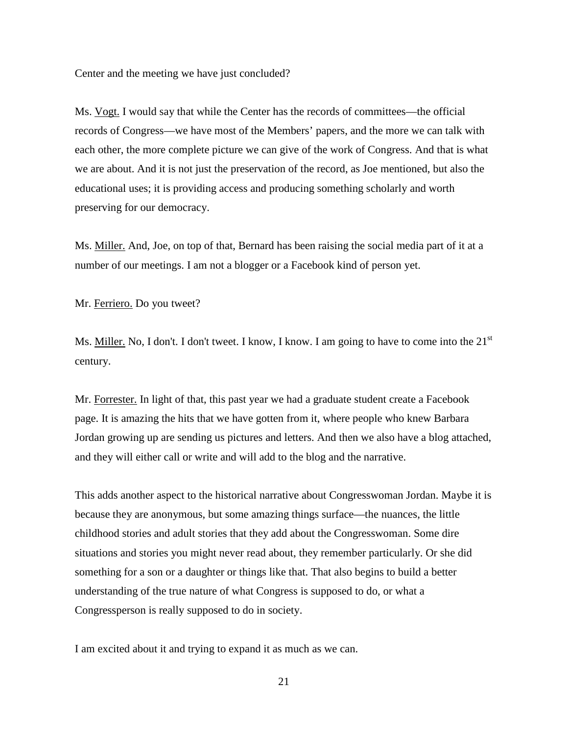Center and the meeting we have just concluded?

Ms. Vogt. I would say that while the Center has the records of committees—the official records of Congress—we have most of the Members' papers, and the more we can talk with each other, the more complete picture we can give of the work of Congress. And that is what we are about. And it is not just the preservation of the record, as Joe mentioned, but also the educational uses; it is providing access and producing something scholarly and worth preserving for our democracy.

Ms. Miller. And, Joe, on top of that, Bernard has been raising the social media part of it at a number of our meetings. I am not a blogger or a Facebook kind of person yet.

Mr. Ferriero. Do you tweet?

Ms. Miller. No, I don't. I don't tweet. I know, I know. I am going to have to come into the 21<sup>st</sup> century.

Mr. Forrester. In light of that, this past year we had a graduate student create a Facebook page. It is amazing the hits that we have gotten from it, where people who knew Barbara Jordan growing up are sending us pictures and letters. And then we also have a blog attached, and they will either call or write and will add to the blog and the narrative.

This adds another aspect to the historical narrative about Congresswoman Jordan. Maybe it is because they are anonymous, but some amazing things surface—the nuances, the little childhood stories and adult stories that they add about the Congresswoman. Some dire situations and stories you might never read about, they remember particularly. Or she did something for a son or a daughter or things like that. That also begins to build a better understanding of the true nature of what Congress is supposed to do, or what a Congressperson is really supposed to do in society.

I am excited about it and trying to expand it as much as we can.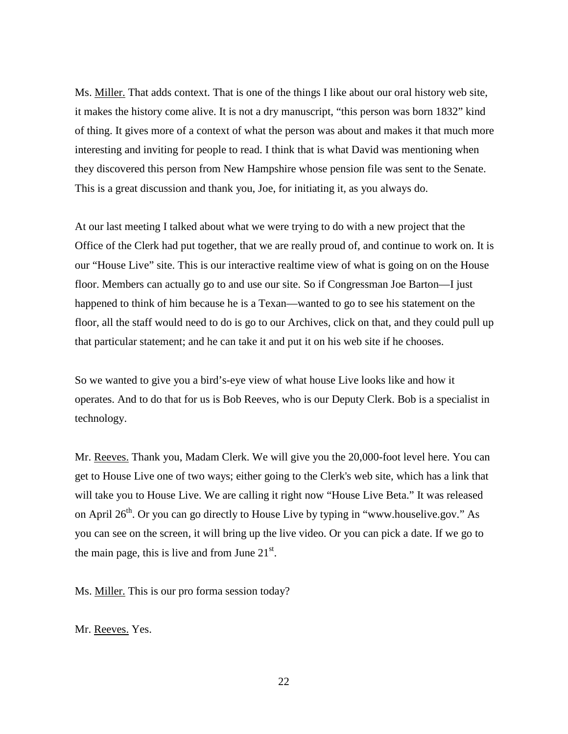Ms. Miller. That adds context. That is one of the things I like about our oral history web site, it makes the history come alive. It is not a dry manuscript, "this person was born 1832" kind of thing. It gives more of a context of what the person was about and makes it that much more interesting and inviting for people to read. I think that is what David was mentioning when they discovered this person from New Hampshire whose pension file was sent to the Senate. This is a great discussion and thank you, Joe, for initiating it, as you always do.

At our last meeting I talked about what we were trying to do with a new project that the Office of the Clerk had put together, that we are really proud of, and continue to work on. It is our "House Live" site. This is our interactive realtime view of what is going on on the House floor. Members can actually go to and use our site. So if Congressman Joe Barton—I just happened to think of him because he is a Texan—wanted to go to see his statement on the floor, all the staff would need to do is go to our Archives, click on that, and they could pull up that particular statement; and he can take it and put it on his web site if he chooses.

So we wanted to give you a bird's-eye view of what house Live looks like and how it operates. And to do that for us is Bob Reeves, who is our Deputy Clerk. Bob is a specialist in technology.

Mr. Reeves. Thank you, Madam Clerk. We will give you the 20,000-foot level here. You can get to House Live one of two ways; either going to the Clerk's web site, which has a link that will take you to House Live. We are calling it right now "House Live Beta." It was released on April  $26<sup>th</sup>$ . Or you can go directly to House Live by typing in "www.houselive.gov." As you can see on the screen, it will bring up the live video. Or you can pick a date. If we go to the main page, this is live and from June  $21<sup>st</sup>$ .

Ms. Miller. This is our pro forma session today?

Mr. Reeves. Yes.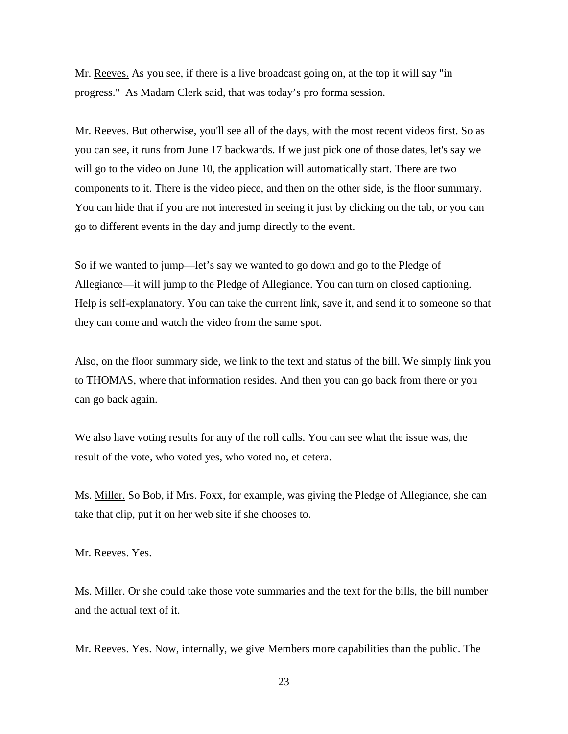Mr. Reeves. As you see, if there is a live broadcast going on, at the top it will say "in progress." As Madam Clerk said, that was today's pro forma session.

Mr. Reeves. But otherwise, you'll see all of the days, with the most recent videos first. So as you can see, it runs from June 17 backwards. If we just pick one of those dates, let's say we will go to the video on June 10, the application will automatically start. There are two components to it. There is the video piece, and then on the other side, is the floor summary. You can hide that if you are not interested in seeing it just by clicking on the tab, or you can go to different events in the day and jump directly to the event.

So if we wanted to jump—let's say we wanted to go down and go to the Pledge of Allegiance—it will jump to the Pledge of Allegiance. You can turn on closed captioning. Help is self-explanatory. You can take the current link, save it, and send it to someone so that they can come and watch the video from the same spot.

Also, on the floor summary side, we link to the text and status of the bill. We simply link you to THOMAS, where that information resides. And then you can go back from there or you can go back again.

We also have voting results for any of the roll calls. You can see what the issue was, the result of the vote, who voted yes, who voted no, et cetera.

Ms. Miller. So Bob, if Mrs. Foxx, for example, was giving the Pledge of Allegiance, she can take that clip, put it on her web site if she chooses to.

Mr. Reeves. Yes.

Ms. Miller. Or she could take those vote summaries and the text for the bills, the bill number and the actual text of it.

Mr. Reeves. Yes. Now, internally, we give Members more capabilities than the public. The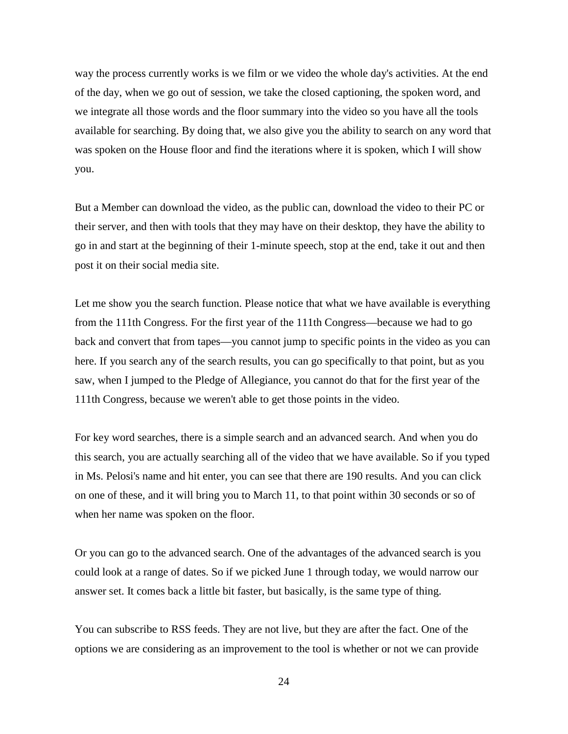way the process currently works is we film or we video the whole day's activities. At the end of the day, when we go out of session, we take the closed captioning, the spoken word, and we integrate all those words and the floor summary into the video so you have all the tools available for searching. By doing that, we also give you the ability to search on any word that was spoken on the House floor and find the iterations where it is spoken, which I will show you.

But a Member can download the video, as the public can, download the video to their PC or their server, and then with tools that they may have on their desktop, they have the ability to go in and start at the beginning of their 1-minute speech, stop at the end, take it out and then post it on their social media site.

Let me show you the search function. Please notice that what we have available is everything from the 111th Congress. For the first year of the 111th Congress—because we had to go back and convert that from tapes—you cannot jump to specific points in the video as you can here. If you search any of the search results, you can go specifically to that point, but as you saw, when I jumped to the Pledge of Allegiance, you cannot do that for the first year of the 111th Congress, because we weren't able to get those points in the video.

For key word searches, there is a simple search and an advanced search. And when you do this search, you are actually searching all of the video that we have available. So if you typed in Ms. Pelosi's name and hit enter, you can see that there are 190 results. And you can click on one of these, and it will bring you to March 11, to that point within 30 seconds or so of when her name was spoken on the floor.

Or you can go to the advanced search. One of the advantages of the advanced search is you could look at a range of dates. So if we picked June 1 through today, we would narrow our answer set. It comes back a little bit faster, but basically, is the same type of thing.

You can subscribe to RSS feeds. They are not live, but they are after the fact. One of the options we are considering as an improvement to the tool is whether or not we can provide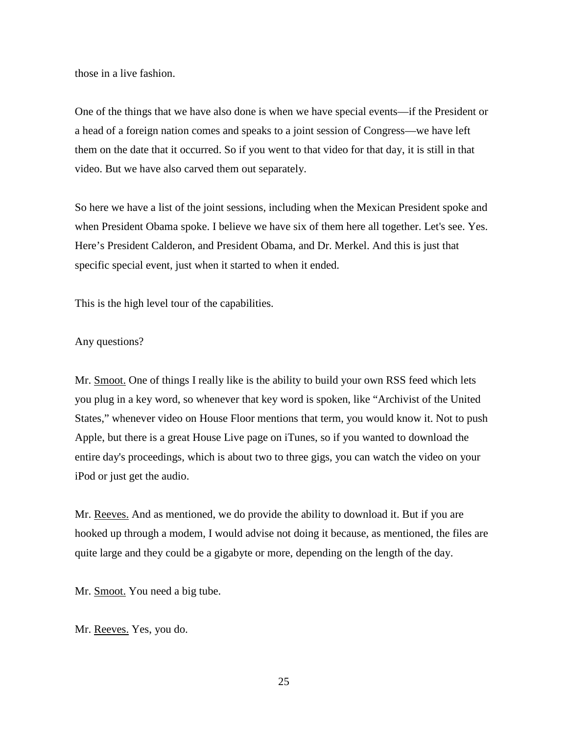those in a live fashion.

One of the things that we have also done is when we have special events—if the President or a head of a foreign nation comes and speaks to a joint session of Congress—we have left them on the date that it occurred. So if you went to that video for that day, it is still in that video. But we have also carved them out separately.

So here we have a list of the joint sessions, including when the Mexican President spoke and when President Obama spoke. I believe we have six of them here all together. Let's see. Yes. Here's President Calderon, and President Obama, and Dr. Merkel. And this is just that specific special event, just when it started to when it ended.

This is the high level tour of the capabilities.

## Any questions?

Mr. Smoot. One of things I really like is the ability to build your own RSS feed which lets you plug in a key word, so whenever that key word is spoken, like "Archivist of the United States," whenever video on House Floor mentions that term, you would know it. Not to push Apple, but there is a great House Live page on iTunes, so if you wanted to download the entire day's proceedings, which is about two to three gigs, you can watch the video on your iPod or just get the audio.

Mr. Reeves. And as mentioned, we do provide the ability to download it. But if you are hooked up through a modem, I would advise not doing it because, as mentioned, the files are quite large and they could be a gigabyte or more, depending on the length of the day.

Mr. Smoot. You need a big tube.

Mr. Reeves. Yes, you do.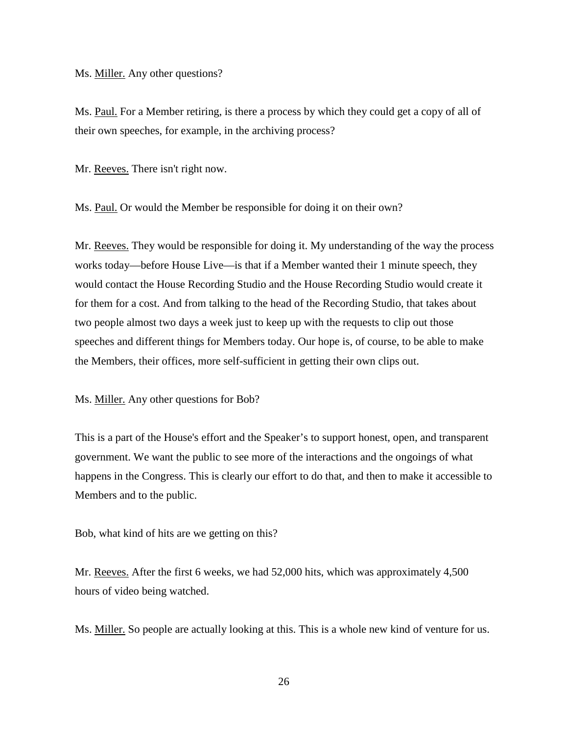Ms. Miller. Any other questions?

Ms. Paul. For a Member retiring, is there a process by which they could get a copy of all of their own speeches, for example, in the archiving process?

Mr. Reeves. There isn't right now.

Ms. Paul. Or would the Member be responsible for doing it on their own?

Mr. Reeves. They would be responsible for doing it. My understanding of the way the process works today—before House Live—is that if a Member wanted their 1 minute speech, they would contact the House Recording Studio and the House Recording Studio would create it for them for a cost. And from talking to the head of the Recording Studio, that takes about two people almost two days a week just to keep up with the requests to clip out those speeches and different things for Members today. Our hope is, of course, to be able to make the Members, their offices, more self-sufficient in getting their own clips out.

Ms. Miller. Any other questions for Bob?

This is a part of the House's effort and the Speaker's to support honest, open, and transparent government. We want the public to see more of the interactions and the ongoings of what happens in the Congress. This is clearly our effort to do that, and then to make it accessible to Members and to the public.

Bob, what kind of hits are we getting on this?

Mr. Reeves. After the first 6 weeks, we had 52,000 hits, which was approximately 4,500 hours of video being watched.

Ms. Miller. So people are actually looking at this. This is a whole new kind of venture for us.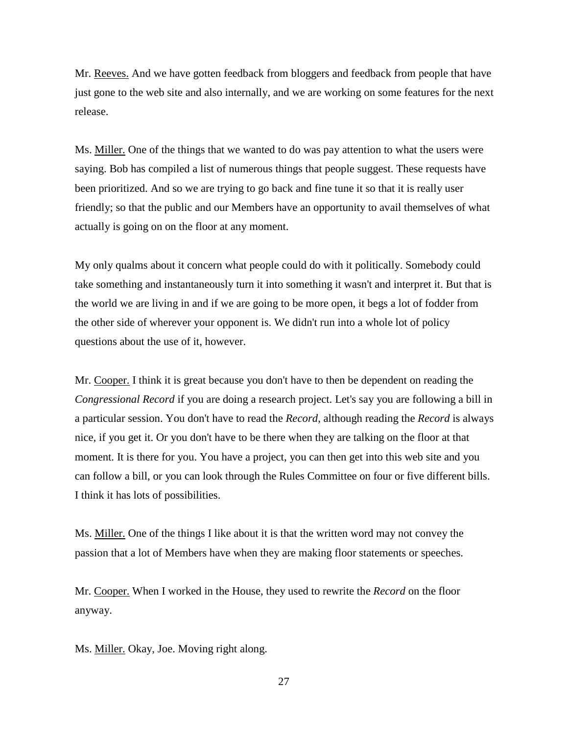Mr. Reeves. And we have gotten feedback from bloggers and feedback from people that have just gone to the web site and also internally, and we are working on some features for the next release.

Ms. Miller. One of the things that we wanted to do was pay attention to what the users were saying. Bob has compiled a list of numerous things that people suggest. These requests have been prioritized. And so we are trying to go back and fine tune it so that it is really user friendly; so that the public and our Members have an opportunity to avail themselves of what actually is going on on the floor at any moment.

My only qualms about it concern what people could do with it politically. Somebody could take something and instantaneously turn it into something it wasn't and interpret it. But that is the world we are living in and if we are going to be more open, it begs a lot of fodder from the other side of wherever your opponent is. We didn't run into a whole lot of policy questions about the use of it, however.

Mr. Cooper. I think it is great because you don't have to then be dependent on reading the *Congressional Record* if you are doing a research project. Let's say you are following a bill in a particular session. You don't have to read the *Record*, although reading the *Record* is always nice, if you get it. Or you don't have to be there when they are talking on the floor at that moment. It is there for you. You have a project, you can then get into this web site and you can follow a bill, or you can look through the Rules Committee on four or five different bills. I think it has lots of possibilities.

Ms. Miller. One of the things I like about it is that the written word may not convey the passion that a lot of Members have when they are making floor statements or speeches.

Mr. Cooper. When I worked in the House, they used to rewrite the *Record* on the floor anyway.

Ms. Miller. Okay, Joe. Moving right along.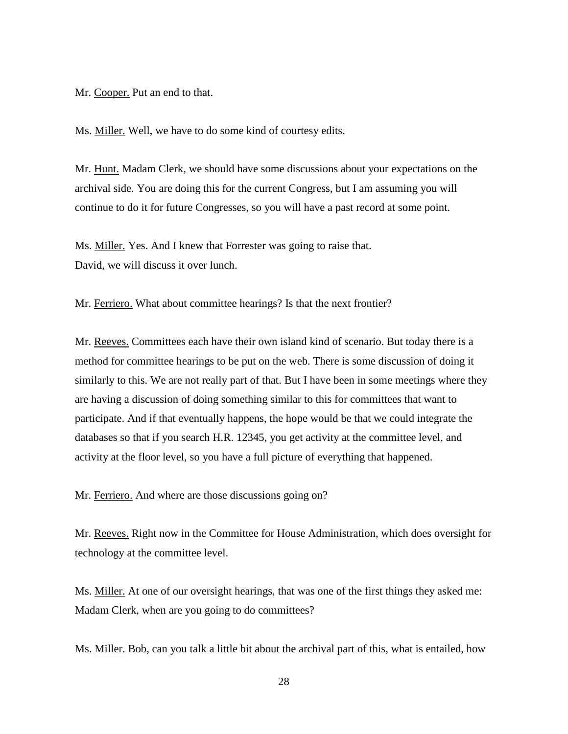Mr. Cooper. Put an end to that.

Ms. Miller. Well, we have to do some kind of courtesy edits.

Mr. Hunt. Madam Clerk, we should have some discussions about your expectations on the archival side. You are doing this for the current Congress, but I am assuming you will continue to do it for future Congresses, so you will have a past record at some point.

Ms. Miller. Yes. And I knew that Forrester was going to raise that. David, we will discuss it over lunch.

Mr. Ferriero. What about committee hearings? Is that the next frontier?

Mr. Reeves. Committees each have their own island kind of scenario. But today there is a method for committee hearings to be put on the web. There is some discussion of doing it similarly to this. We are not really part of that. But I have been in some meetings where they are having a discussion of doing something similar to this for committees that want to participate. And if that eventually happens, the hope would be that we could integrate the databases so that if you search H.R. 12345, you get activity at the committee level, and activity at the floor level, so you have a full picture of everything that happened.

Mr. Ferriero. And where are those discussions going on?

Mr. Reeves. Right now in the Committee for House Administration, which does oversight for technology at the committee level.

Ms. Miller. At one of our oversight hearings, that was one of the first things they asked me: Madam Clerk, when are you going to do committees?

Ms. Miller. Bob, can you talk a little bit about the archival part of this, what is entailed, how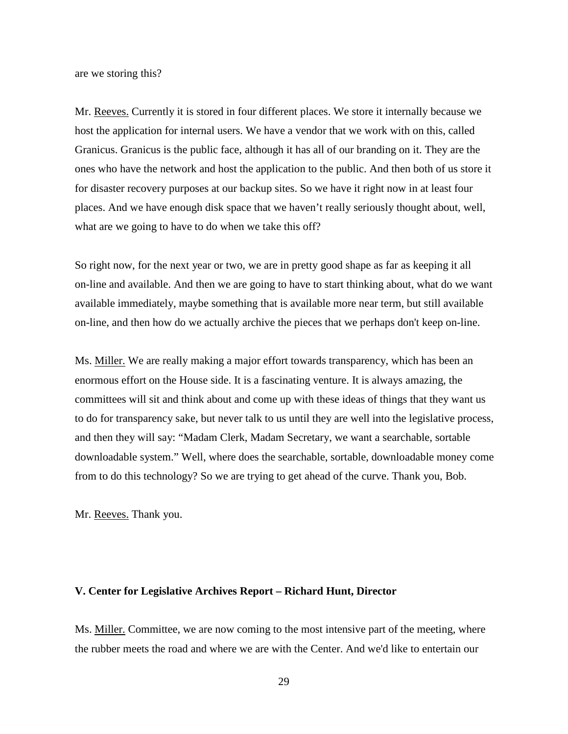are we storing this?

Mr. Reeves. Currently it is stored in four different places. We store it internally because we host the application for internal users. We have a vendor that we work with on this, called Granicus. Granicus is the public face, although it has all of our branding on it. They are the ones who have the network and host the application to the public. And then both of us store it for disaster recovery purposes at our backup sites. So we have it right now in at least four places. And we have enough disk space that we haven't really seriously thought about, well, what are we going to have to do when we take this off?

So right now, for the next year or two, we are in pretty good shape as far as keeping it all on-line and available. And then we are going to have to start thinking about, what do we want available immediately, maybe something that is available more near term, but still available on-line, and then how do we actually archive the pieces that we perhaps don't keep on-line.

Ms. Miller. We are really making a major effort towards transparency, which has been an enormous effort on the House side. It is a fascinating venture. It is always amazing, the committees will sit and think about and come up with these ideas of things that they want us to do for transparency sake, but never talk to us until they are well into the legislative process, and then they will say: "Madam Clerk, Madam Secretary, we want a searchable, sortable downloadable system." Well, where does the searchable, sortable, downloadable money come from to do this technology? So we are trying to get ahead of the curve. Thank you, Bob.

Mr. Reeves. Thank you.

## **V. Center for Legislative Archives Report – Richard Hunt, Director**

Ms. Miller. Committee, we are now coming to the most intensive part of the meeting, where the rubber meets the road and where we are with the Center. And we'd like to entertain our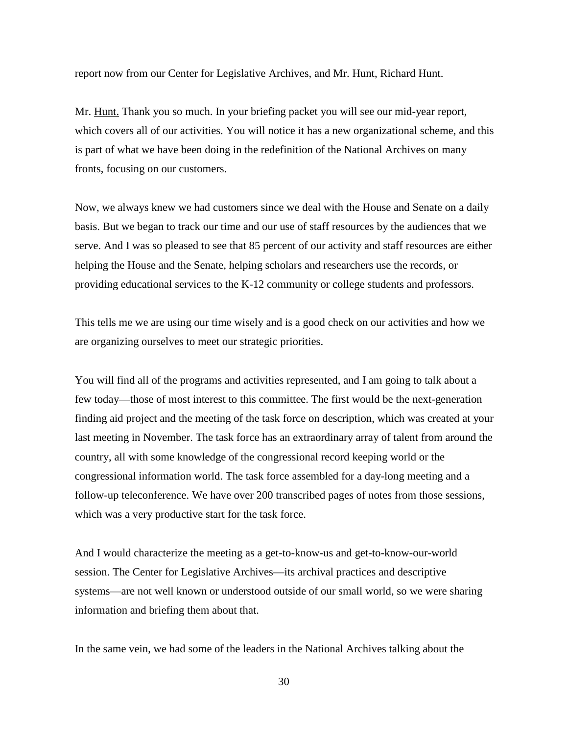report now from our Center for Legislative Archives, and Mr. Hunt, Richard Hunt.

Mr. Hunt. Thank you so much. In your briefing packet you will see our mid-year report, which covers all of our activities. You will notice it has a new organizational scheme, and this is part of what we have been doing in the redefinition of the National Archives on many fronts, focusing on our customers.

Now, we always knew we had customers since we deal with the House and Senate on a daily basis. But we began to track our time and our use of staff resources by the audiences that we serve. And I was so pleased to see that 85 percent of our activity and staff resources are either helping the House and the Senate, helping scholars and researchers use the records, or providing educational services to the K-12 community or college students and professors.

This tells me we are using our time wisely and is a good check on our activities and how we are organizing ourselves to meet our strategic priorities.

You will find all of the programs and activities represented, and I am going to talk about a few today—those of most interest to this committee. The first would be the next-generation finding aid project and the meeting of the task force on description, which was created at your last meeting in November. The task force has an extraordinary array of talent from around the country, all with some knowledge of the congressional record keeping world or the congressional information world. The task force assembled for a day-long meeting and a follow-up teleconference. We have over 200 transcribed pages of notes from those sessions, which was a very productive start for the task force.

And I would characterize the meeting as a get-to-know-us and get-to-know-our-world session. The Center for Legislative Archives—its archival practices and descriptive systems—are not well known or understood outside of our small world, so we were sharing information and briefing them about that.

In the same vein, we had some of the leaders in the National Archives talking about the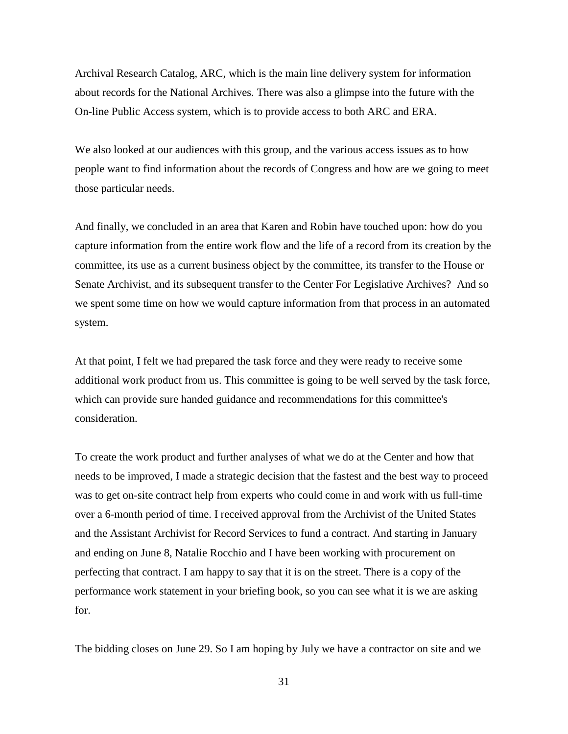Archival Research Catalog, ARC, which is the main line delivery system for information about records for the National Archives. There was also a glimpse into the future with the On-line Public Access system, which is to provide access to both ARC and ERA.

We also looked at our audiences with this group, and the various access issues as to how people want to find information about the records of Congress and how are we going to meet those particular needs.

And finally, we concluded in an area that Karen and Robin have touched upon: how do you capture information from the entire work flow and the life of a record from its creation by the committee, its use as a current business object by the committee, its transfer to the House or Senate Archivist, and its subsequent transfer to the Center For Legislative Archives? And so we spent some time on how we would capture information from that process in an automated system.

At that point, I felt we had prepared the task force and they were ready to receive some additional work product from us. This committee is going to be well served by the task force, which can provide sure handed guidance and recommendations for this committee's consideration.

To create the work product and further analyses of what we do at the Center and how that needs to be improved, I made a strategic decision that the fastest and the best way to proceed was to get on-site contract help from experts who could come in and work with us full-time over a 6-month period of time. I received approval from the Archivist of the United States and the Assistant Archivist for Record Services to fund a contract. And starting in January and ending on June 8, Natalie Rocchio and I have been working with procurement on perfecting that contract. I am happy to say that it is on the street. There is a copy of the performance work statement in your briefing book, so you can see what it is we are asking for.

The bidding closes on June 29. So I am hoping by July we have a contractor on site and we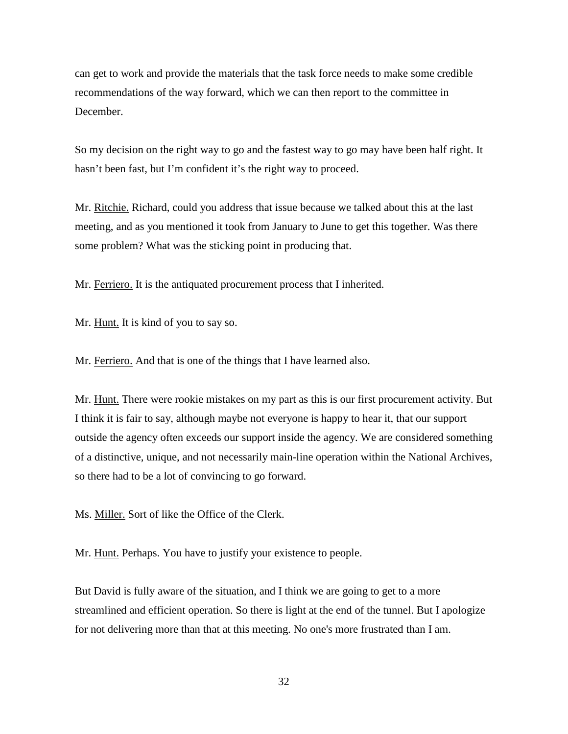can get to work and provide the materials that the task force needs to make some credible recommendations of the way forward, which we can then report to the committee in December.

So my decision on the right way to go and the fastest way to go may have been half right. It hasn't been fast, but I'm confident it's the right way to proceed.

Mr. Ritchie. Richard, could you address that issue because we talked about this at the last meeting, and as you mentioned it took from January to June to get this together. Was there some problem? What was the sticking point in producing that.

Mr. Ferriero. It is the antiquated procurement process that I inherited.

Mr. Hunt. It is kind of you to say so.

Mr. Ferriero. And that is one of the things that I have learned also.

Mr. Hunt. There were rookie mistakes on my part as this is our first procurement activity. But I think it is fair to say, although maybe not everyone is happy to hear it, that our support outside the agency often exceeds our support inside the agency. We are considered something of a distinctive, unique, and not necessarily main-line operation within the National Archives, so there had to be a lot of convincing to go forward.

Ms. Miller. Sort of like the Office of the Clerk.

Mr. Hunt. Perhaps. You have to justify your existence to people.

But David is fully aware of the situation, and I think we are going to get to a more streamlined and efficient operation. So there is light at the end of the tunnel. But I apologize for not delivering more than that at this meeting. No one's more frustrated than I am.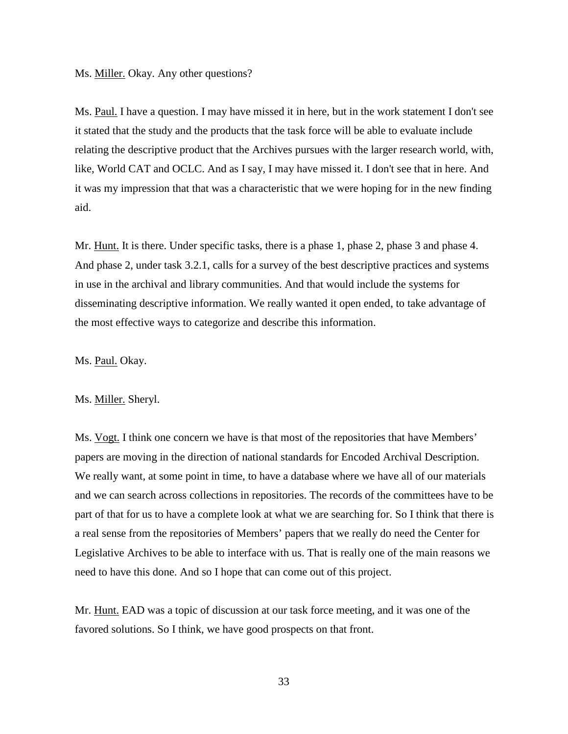#### Ms. **Miller.** Okay. Any other questions?

Ms. Paul. I have a question. I may have missed it in here, but in the work statement I don't see it stated that the study and the products that the task force will be able to evaluate include relating the descriptive product that the Archives pursues with the larger research world, with, like, World CAT and OCLC. And as I say, I may have missed it. I don't see that in here. And it was my impression that that was a characteristic that we were hoping for in the new finding aid.

Mr. Hunt. It is there. Under specific tasks, there is a phase 1, phase 2, phase 3 and phase 4. And phase 2, under task 3.2.1, calls for a survey of the best descriptive practices and systems in use in the archival and library communities. And that would include the systems for disseminating descriptive information. We really wanted it open ended, to take advantage of the most effective ways to categorize and describe this information.

Ms. Paul. Okay.

#### Ms. Miller. Sheryl.

Ms. Vogt. I think one concern we have is that most of the repositories that have Members' papers are moving in the direction of national standards for Encoded Archival Description. We really want, at some point in time, to have a database where we have all of our materials and we can search across collections in repositories. The records of the committees have to be part of that for us to have a complete look at what we are searching for. So I think that there is a real sense from the repositories of Members' papers that we really do need the Center for Legislative Archives to be able to interface with us. That is really one of the main reasons we need to have this done. And so I hope that can come out of this project.

Mr. Hunt. EAD was a topic of discussion at our task force meeting, and it was one of the favored solutions. So I think, we have good prospects on that front.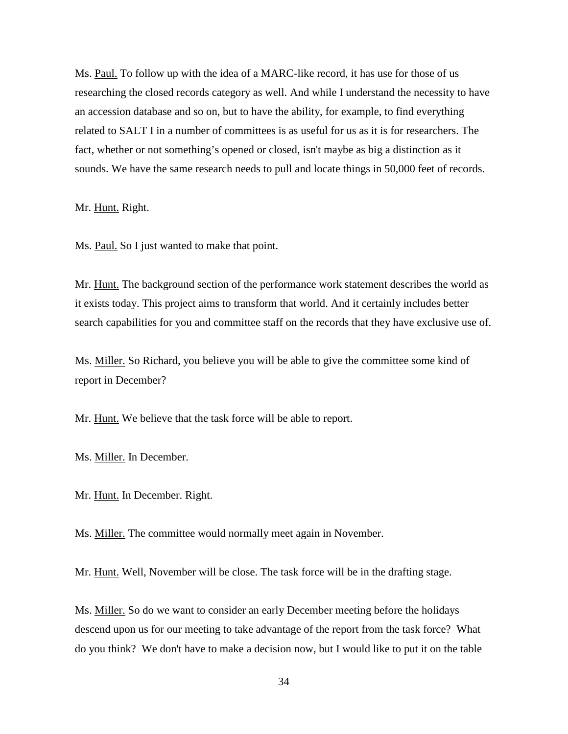Ms. Paul. To follow up with the idea of a MARC-like record, it has use for those of us researching the closed records category as well. And while I understand the necessity to have an accession database and so on, but to have the ability, for example, to find everything related to SALT I in a number of committees is as useful for us as it is for researchers. The fact, whether or not something's opened or closed, isn't maybe as big a distinction as it sounds. We have the same research needs to pull and locate things in 50,000 feet of records.

Mr. Hunt. Right.

Ms. Paul. So I just wanted to make that point.

Mr. Hunt. The background section of the performance work statement describes the world as it exists today. This project aims to transform that world. And it certainly includes better search capabilities for you and committee staff on the records that they have exclusive use of.

Ms. Miller. So Richard, you believe you will be able to give the committee some kind of report in December?

Mr. Hunt. We believe that the task force will be able to report.

Ms. Miller. In December.

Mr. Hunt. In December. Right.

Ms. Miller. The committee would normally meet again in November.

Mr. Hunt. Well, November will be close. The task force will be in the drafting stage.

Ms. Miller. So do we want to consider an early December meeting before the holidays descend upon us for our meeting to take advantage of the report from the task force? What do you think? We don't have to make a decision now, but I would like to put it on the table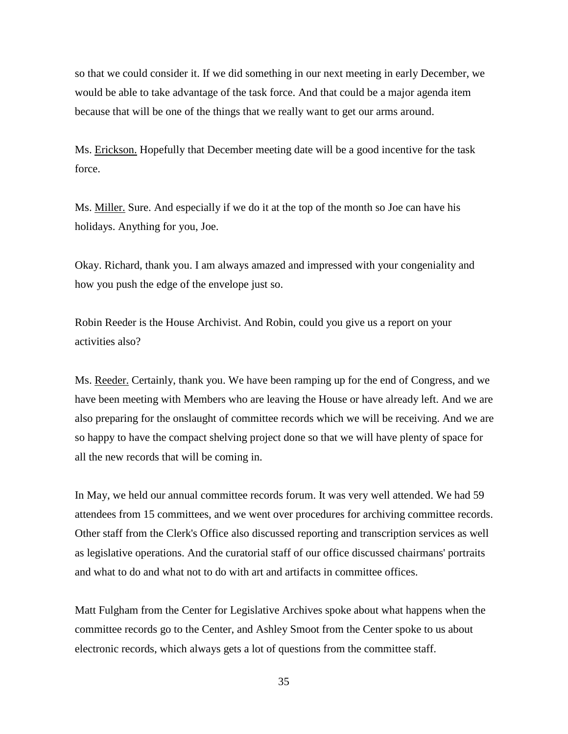so that we could consider it. If we did something in our next meeting in early December, we would be able to take advantage of the task force. And that could be a major agenda item because that will be one of the things that we really want to get our arms around.

Ms. Erickson. Hopefully that December meeting date will be a good incentive for the task force.

Ms. Miller, Sure. And especially if we do it at the top of the month so Joe can have his holidays. Anything for you, Joe.

Okay. Richard, thank you. I am always amazed and impressed with your congeniality and how you push the edge of the envelope just so.

Robin Reeder is the House Archivist. And Robin, could you give us a report on your activities also?

Ms. Reeder. Certainly, thank you. We have been ramping up for the end of Congress, and we have been meeting with Members who are leaving the House or have already left. And we are also preparing for the onslaught of committee records which we will be receiving. And we are so happy to have the compact shelving project done so that we will have plenty of space for all the new records that will be coming in.

In May, we held our annual committee records forum. It was very well attended. We had 59 attendees from 15 committees, and we went over procedures for archiving committee records. Other staff from the Clerk's Office also discussed reporting and transcription services as well as legislative operations. And the curatorial staff of our office discussed chairmans' portraits and what to do and what not to do with art and artifacts in committee offices.

Matt Fulgham from the Center for Legislative Archives spoke about what happens when the committee records go to the Center, and Ashley Smoot from the Center spoke to us about electronic records, which always gets a lot of questions from the committee staff.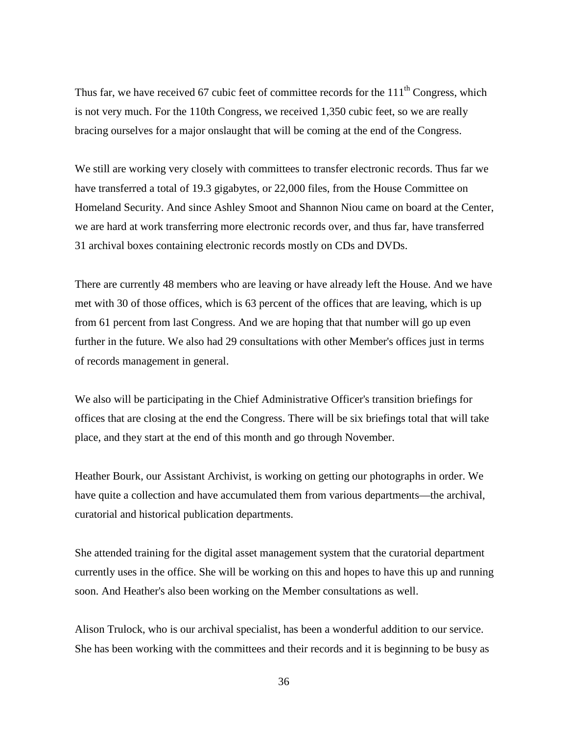Thus far, we have received 67 cubic feet of committee records for the  $111<sup>th</sup>$  Congress, which is not very much. For the 110th Congress, we received 1,350 cubic feet, so we are really bracing ourselves for a major onslaught that will be coming at the end of the Congress.

We still are working very closely with committees to transfer electronic records. Thus far we have transferred a total of 19.3 gigabytes, or 22,000 files, from the House Committee on Homeland Security. And since Ashley Smoot and Shannon Niou came on board at the Center, we are hard at work transferring more electronic records over, and thus far, have transferred 31 archival boxes containing electronic records mostly on CDs and DVDs.

There are currently 48 members who are leaving or have already left the House. And we have met with 30 of those offices, which is 63 percent of the offices that are leaving, which is up from 61 percent from last Congress. And we are hoping that that number will go up even further in the future. We also had 29 consultations with other Member's offices just in terms of records management in general.

We also will be participating in the Chief Administrative Officer's transition briefings for offices that are closing at the end the Congress. There will be six briefings total that will take place, and they start at the end of this month and go through November.

Heather Bourk, our Assistant Archivist, is working on getting our photographs in order. We have quite a collection and have accumulated them from various departments—the archival, curatorial and historical publication departments.

She attended training for the digital asset management system that the curatorial department currently uses in the office. She will be working on this and hopes to have this up and running soon. And Heather's also been working on the Member consultations as well.

Alison Trulock, who is our archival specialist, has been a wonderful addition to our service. She has been working with the committees and their records and it is beginning to be busy as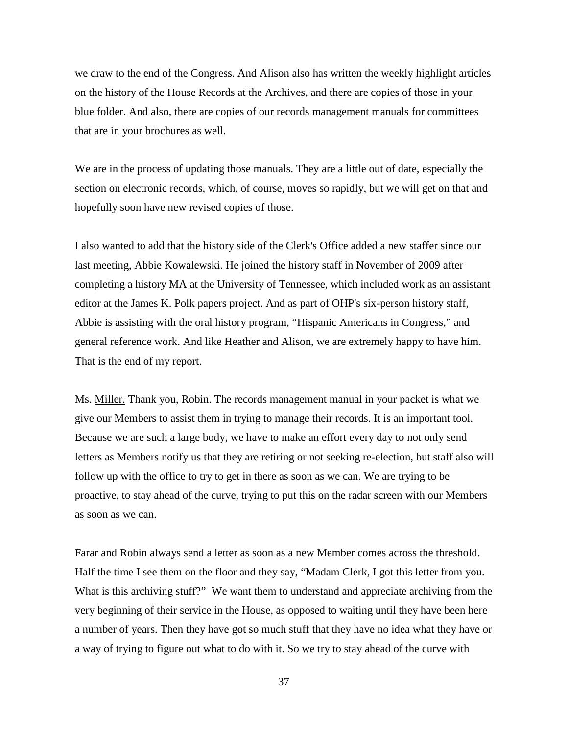we draw to the end of the Congress. And Alison also has written the weekly highlight articles on the history of the House Records at the Archives, and there are copies of those in your blue folder. And also, there are copies of our records management manuals for committees that are in your brochures as well.

We are in the process of updating those manuals. They are a little out of date, especially the section on electronic records, which, of course, moves so rapidly, but we will get on that and hopefully soon have new revised copies of those.

I also wanted to add that the history side of the Clerk's Office added a new staffer since our last meeting, Abbie Kowalewski. He joined the history staff in November of 2009 after completing a history MA at the University of Tennessee, which included work as an assistant editor at the James K. Polk papers project. And as part of OHP's six-person history staff, Abbie is assisting with the oral history program, "Hispanic Americans in Congress," and general reference work. And like Heather and Alison, we are extremely happy to have him. That is the end of my report.

Ms. Miller. Thank you, Robin. The records management manual in your packet is what we give our Members to assist them in trying to manage their records. It is an important tool. Because we are such a large body, we have to make an effort every day to not only send letters as Members notify us that they are retiring or not seeking re-election, but staff also will follow up with the office to try to get in there as soon as we can. We are trying to be proactive, to stay ahead of the curve, trying to put this on the radar screen with our Members as soon as we can.

Farar and Robin always send a letter as soon as a new Member comes across the threshold. Half the time I see them on the floor and they say, "Madam Clerk, I got this letter from you. What is this archiving stuff?" We want them to understand and appreciate archiving from the very beginning of their service in the House, as opposed to waiting until they have been here a number of years. Then they have got so much stuff that they have no idea what they have or a way of trying to figure out what to do with it. So we try to stay ahead of the curve with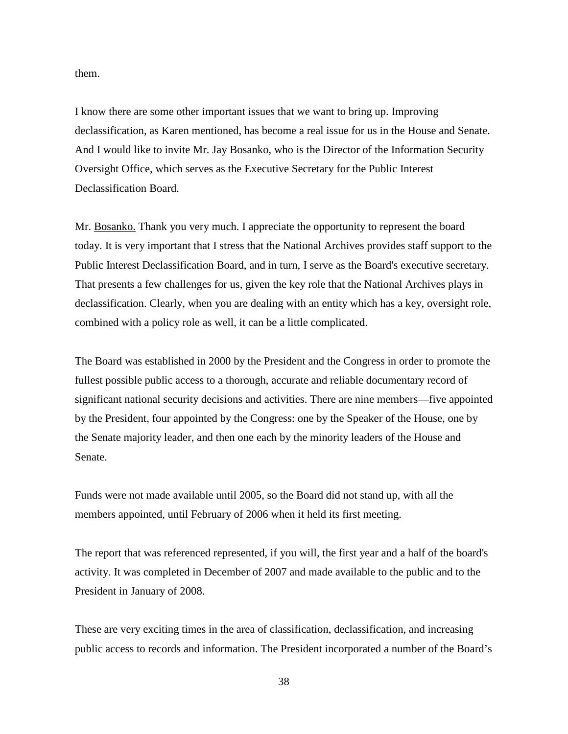them.

I know there are some other important issues that we want to bring up. Improving declassification, as Karen mentioned, has become a real issue for us in the House and Senate. And I would like to invite Mr. Jay Bosanko, who is the Director of the Information Security Oversight Office, which serves as the Executive Secretary for the Public Interest Declassification Board.

Mr. Bosanko. Thank you very much. I appreciate the opportunity to represent the board today. It is very important that I stress that the National Archives provides staff support to the Public Interest Declassification Board, and in turn, I serve as the Board's executive secretary. That presents a few challenges for us, given the key role that the National Archives plays in declassification. Clearly, when you are dealing with an entity which has a key, oversight role, combined with a policy role as well, it can be a little complicated.

The Board was established in 2000 by the President and the Congress in order to promote the fullest possible public access to a thorough, accurate and reliable documentary record of significant national security decisions and activities. There are nine members—five appointed by the President, four appointed by the Congress: one by the Speaker of the House, one by the Senate majority leader, and then one each by the minority leaders of the House and Senate.

Funds were not made available until 2005, so the Board did not stand up, with all the members appointed, until February of 2006 when it held its first meeting.

The report that was referenced represented, if you will, the first year and a half of the board's activity. It was completed in December of 2007 and made available to the public and to the President in January of 2008.

These are very exciting times in the area of classification, declassification, and increasing public access to records and information. The President incorporated a number of the Board's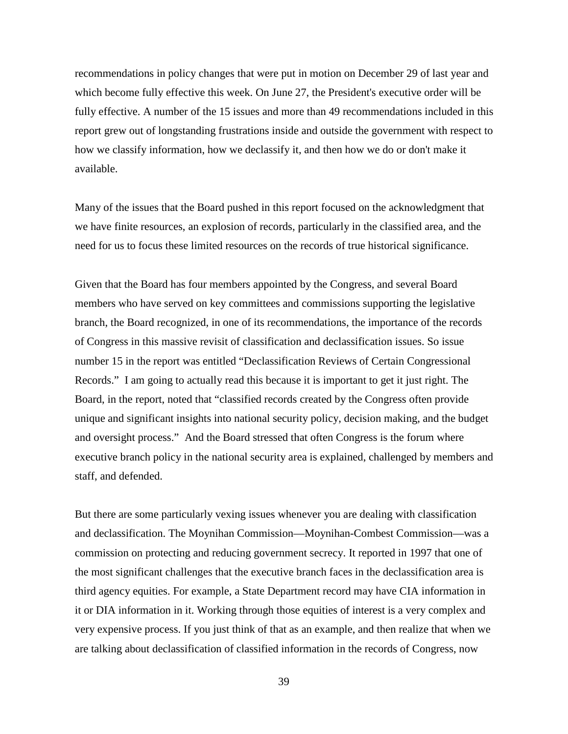recommendations in policy changes that were put in motion on December 29 of last year and which become fully effective this week. On June 27, the President's executive order will be fully effective. A number of the 15 issues and more than 49 recommendations included in this report grew out of longstanding frustrations inside and outside the government with respect to how we classify information, how we declassify it, and then how we do or don't make it available.

Many of the issues that the Board pushed in this report focused on the acknowledgment that we have finite resources, an explosion of records, particularly in the classified area, and the need for us to focus these limited resources on the records of true historical significance.

Given that the Board has four members appointed by the Congress, and several Board members who have served on key committees and commissions supporting the legislative branch, the Board recognized, in one of its recommendations, the importance of the records of Congress in this massive revisit of classification and declassification issues. So issue number 15 in the report was entitled "Declassification Reviews of Certain Congressional Records." I am going to actually read this because it is important to get it just right. The Board, in the report, noted that "classified records created by the Congress often provide unique and significant insights into national security policy, decision making, and the budget and oversight process." And the Board stressed that often Congress is the forum where executive branch policy in the national security area is explained, challenged by members and staff, and defended.

But there are some particularly vexing issues whenever you are dealing with classification and declassification. The Moynihan Commission—Moynihan-Combest Commission—was a commission on protecting and reducing government secrecy. It reported in 1997 that one of the most significant challenges that the executive branch faces in the declassification area is third agency equities. For example, a State Department record may have CIA information in it or DIA information in it. Working through those equities of interest is a very complex and very expensive process. If you just think of that as an example, and then realize that when we are talking about declassification of classified information in the records of Congress, now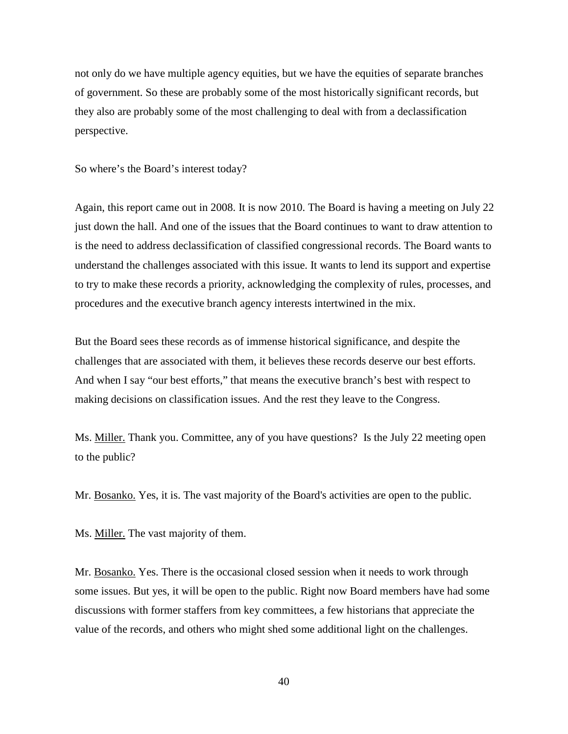not only do we have multiple agency equities, but we have the equities of separate branches of government. So these are probably some of the most historically significant records, but they also are probably some of the most challenging to deal with from a declassification perspective.

So where's the Board's interest today?

Again, this report came out in 2008. It is now 2010. The Board is having a meeting on July 22 just down the hall. And one of the issues that the Board continues to want to draw attention to is the need to address declassification of classified congressional records. The Board wants to understand the challenges associated with this issue. It wants to lend its support and expertise to try to make these records a priority, acknowledging the complexity of rules, processes, and procedures and the executive branch agency interests intertwined in the mix.

But the Board sees these records as of immense historical significance, and despite the challenges that are associated with them, it believes these records deserve our best efforts. And when I say "our best efforts," that means the executive branch's best with respect to making decisions on classification issues. And the rest they leave to the Congress.

Ms. Miller. Thank you. Committee, any of you have questions? Is the July 22 meeting open to the public?

Mr. Bosanko. Yes, it is. The vast majority of the Board's activities are open to the public.

Ms. Miller. The vast majority of them.

Mr. Bosanko. Yes. There is the occasional closed session when it needs to work through some issues. But yes, it will be open to the public. Right now Board members have had some discussions with former staffers from key committees, a few historians that appreciate the value of the records, and others who might shed some additional light on the challenges.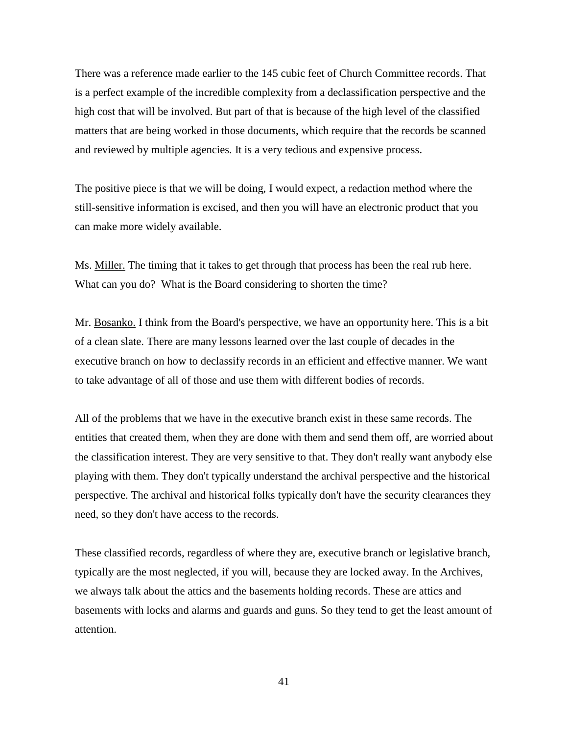There was a reference made earlier to the 145 cubic feet of Church Committee records. That is a perfect example of the incredible complexity from a declassification perspective and the high cost that will be involved. But part of that is because of the high level of the classified matters that are being worked in those documents, which require that the records be scanned and reviewed by multiple agencies. It is a very tedious and expensive process.

The positive piece is that we will be doing, I would expect, a redaction method where the still-sensitive information is excised, and then you will have an electronic product that you can make more widely available.

Ms. Miller. The timing that it takes to get through that process has been the real rub here. What can you do? What is the Board considering to shorten the time?

Mr. Bosanko. I think from the Board's perspective, we have an opportunity here. This is a bit of a clean slate. There are many lessons learned over the last couple of decades in the executive branch on how to declassify records in an efficient and effective manner. We want to take advantage of all of those and use them with different bodies of records.

All of the problems that we have in the executive branch exist in these same records. The entities that created them, when they are done with them and send them off, are worried about the classification interest. They are very sensitive to that. They don't really want anybody else playing with them. They don't typically understand the archival perspective and the historical perspective. The archival and historical folks typically don't have the security clearances they need, so they don't have access to the records.

These classified records, regardless of where they are, executive branch or legislative branch, typically are the most neglected, if you will, because they are locked away. In the Archives, we always talk about the attics and the basements holding records. These are attics and basements with locks and alarms and guards and guns. So they tend to get the least amount of attention.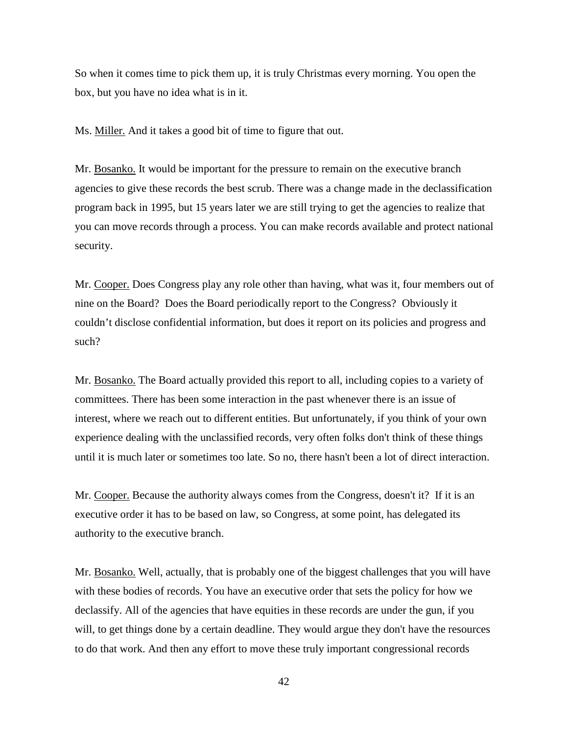So when it comes time to pick them up, it is truly Christmas every morning. You open the box, but you have no idea what is in it.

Ms. Miller. And it takes a good bit of time to figure that out.

Mr. Bosanko. It would be important for the pressure to remain on the executive branch agencies to give these records the best scrub. There was a change made in the declassification program back in 1995, but 15 years later we are still trying to get the agencies to realize that you can move records through a process. You can make records available and protect national security.

Mr. Cooper. Does Congress play any role other than having, what was it, four members out of nine on the Board? Does the Board periodically report to the Congress? Obviously it couldn't disclose confidential information, but does it report on its policies and progress and such?

Mr. Bosanko. The Board actually provided this report to all, including copies to a variety of committees. There has been some interaction in the past whenever there is an issue of interest, where we reach out to different entities. But unfortunately, if you think of your own experience dealing with the unclassified records, very often folks don't think of these things until it is much later or sometimes too late. So no, there hasn't been a lot of direct interaction.

Mr. Cooper. Because the authority always comes from the Congress, doesn't it? If it is an executive order it has to be based on law, so Congress, at some point, has delegated its authority to the executive branch.

Mr. Bosanko. Well, actually, that is probably one of the biggest challenges that you will have with these bodies of records. You have an executive order that sets the policy for how we declassify. All of the agencies that have equities in these records are under the gun, if you will, to get things done by a certain deadline. They would argue they don't have the resources to do that work. And then any effort to move these truly important congressional records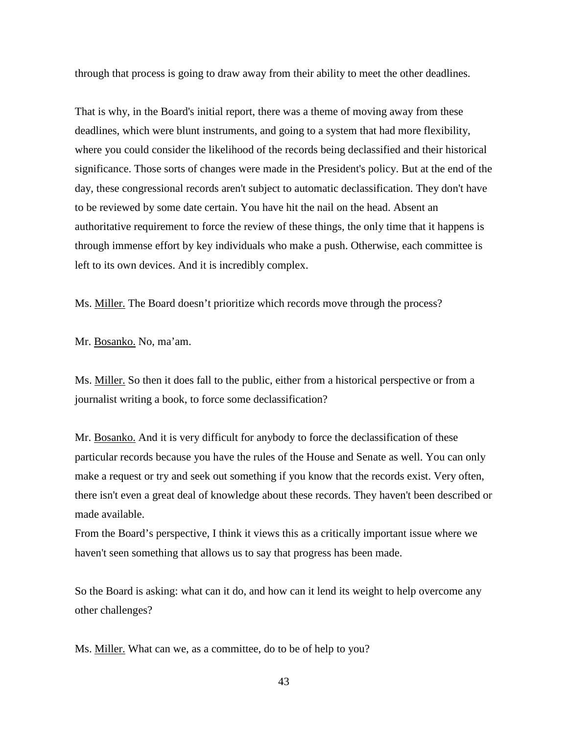through that process is going to draw away from their ability to meet the other deadlines.

That is why, in the Board's initial report, there was a theme of moving away from these deadlines, which were blunt instruments, and going to a system that had more flexibility, where you could consider the likelihood of the records being declassified and their historical significance. Those sorts of changes were made in the President's policy. But at the end of the day, these congressional records aren't subject to automatic declassification. They don't have to be reviewed by some date certain. You have hit the nail on the head. Absent an authoritative requirement to force the review of these things, the only time that it happens is through immense effort by key individuals who make a push. Otherwise, each committee is left to its own devices. And it is incredibly complex.

Ms. Miller. The Board doesn't prioritize which records move through the process?

Mr. Bosanko. No, ma'am.

Ms. Miller. So then it does fall to the public, either from a historical perspective or from a journalist writing a book, to force some declassification?

Mr. Bosanko. And it is very difficult for anybody to force the declassification of these particular records because you have the rules of the House and Senate as well. You can only make a request or try and seek out something if you know that the records exist. Very often, there isn't even a great deal of knowledge about these records. They haven't been described or made available.

From the Board's perspective, I think it views this as a critically important issue where we haven't seen something that allows us to say that progress has been made.

So the Board is asking: what can it do, and how can it lend its weight to help overcome any other challenges?

Ms. Miller. What can we, as a committee, do to be of help to you?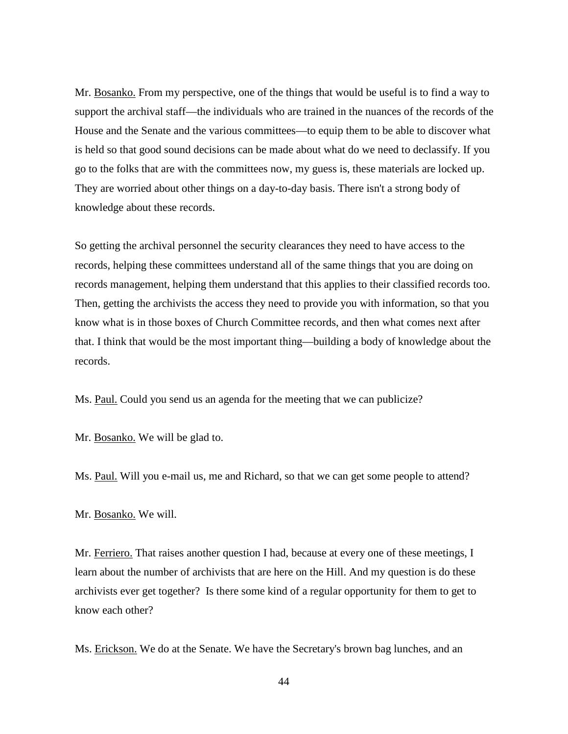Mr. Bosanko. From my perspective, one of the things that would be useful is to find a way to support the archival staff—the individuals who are trained in the nuances of the records of the House and the Senate and the various committees—to equip them to be able to discover what is held so that good sound decisions can be made about what do we need to declassify. If you go to the folks that are with the committees now, my guess is, these materials are locked up. They are worried about other things on a day-to-day basis. There isn't a strong body of knowledge about these records.

So getting the archival personnel the security clearances they need to have access to the records, helping these committees understand all of the same things that you are doing on records management, helping them understand that this applies to their classified records too. Then, getting the archivists the access they need to provide you with information, so that you know what is in those boxes of Church Committee records, and then what comes next after that. I think that would be the most important thing—building a body of knowledge about the records.

Ms. Paul. Could you send us an agenda for the meeting that we can publicize?

Mr. Bosanko. We will be glad to.

Ms. Paul. Will you e-mail us, me and Richard, so that we can get some people to attend?

Mr. Bosanko. We will.

Mr. Ferriero. That raises another question I had, because at every one of these meetings, I learn about the number of archivists that are here on the Hill. And my question is do these archivists ever get together? Is there some kind of a regular opportunity for them to get to know each other?

Ms. Erickson. We do at the Senate. We have the Secretary's brown bag lunches, and an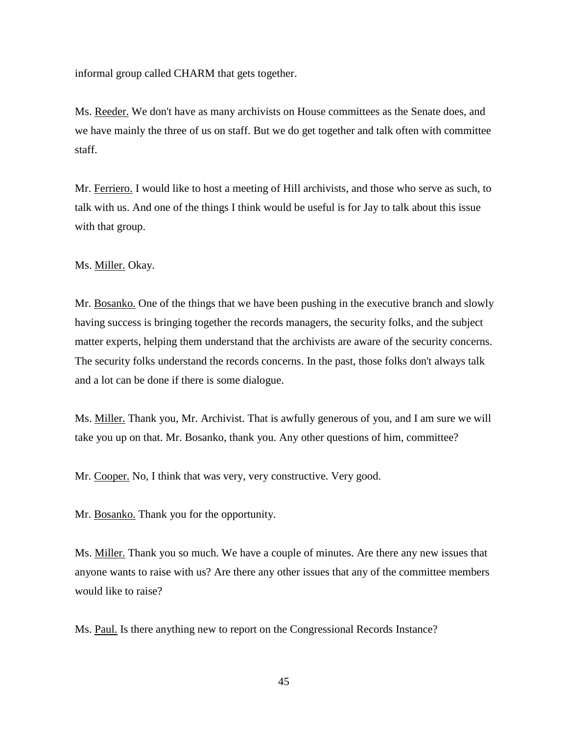informal group called CHARM that gets together.

Ms. Reeder. We don't have as many archivists on House committees as the Senate does, and we have mainly the three of us on staff. But we do get together and talk often with committee staff.

Mr. Ferriero. I would like to host a meeting of Hill archivists, and those who serve as such, to talk with us. And one of the things I think would be useful is for Jay to talk about this issue with that group.

Ms. Miller. Okay.

Mr. Bosanko. One of the things that we have been pushing in the executive branch and slowly having success is bringing together the records managers, the security folks, and the subject matter experts, helping them understand that the archivists are aware of the security concerns. The security folks understand the records concerns. In the past, those folks don't always talk and a lot can be done if there is some dialogue.

Ms. Miller. Thank you, Mr. Archivist. That is awfully generous of you, and I am sure we will take you up on that. Mr. Bosanko, thank you. Any other questions of him, committee?

Mr. Cooper. No, I think that was very, very constructive. Very good.

Mr. Bosanko. Thank you for the opportunity.

Ms. Miller. Thank you so much. We have a couple of minutes. Are there any new issues that anyone wants to raise with us? Are there any other issues that any of the committee members would like to raise?

Ms. Paul. Is there anything new to report on the Congressional Records Instance?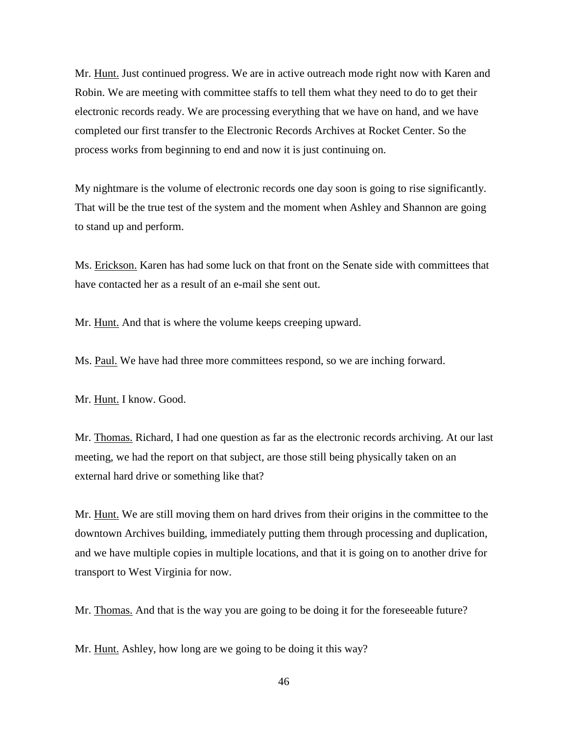Mr. Hunt. Just continued progress. We are in active outreach mode right now with Karen and Robin. We are meeting with committee staffs to tell them what they need to do to get their electronic records ready. We are processing everything that we have on hand, and we have completed our first transfer to the Electronic Records Archives at Rocket Center. So the process works from beginning to end and now it is just continuing on.

My nightmare is the volume of electronic records one day soon is going to rise significantly. That will be the true test of the system and the moment when Ashley and Shannon are going to stand up and perform.

Ms. Erickson. Karen has had some luck on that front on the Senate side with committees that have contacted her as a result of an e-mail she sent out.

Mr. Hunt. And that is where the volume keeps creeping upward.

Ms. Paul. We have had three more committees respond, so we are inching forward.

Mr. Hunt. I know. Good.

Mr. Thomas. Richard, I had one question as far as the electronic records archiving. At our last meeting, we had the report on that subject, are those still being physically taken on an external hard drive or something like that?

Mr. Hunt. We are still moving them on hard drives from their origins in the committee to the downtown Archives building, immediately putting them through processing and duplication, and we have multiple copies in multiple locations, and that it is going on to another drive for transport to West Virginia for now.

Mr. Thomas. And that is the way you are going to be doing it for the foreseeable future?

Mr. Hunt. Ashley, how long are we going to be doing it this way?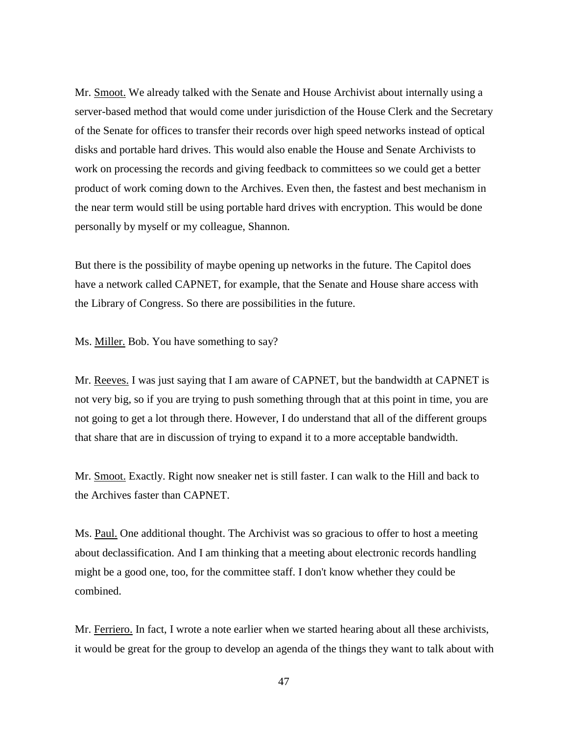Mr. Smoot. We already talked with the Senate and House Archivist about internally using a server-based method that would come under jurisdiction of the House Clerk and the Secretary of the Senate for offices to transfer their records over high speed networks instead of optical disks and portable hard drives. This would also enable the House and Senate Archivists to work on processing the records and giving feedback to committees so we could get a better product of work coming down to the Archives. Even then, the fastest and best mechanism in the near term would still be using portable hard drives with encryption. This would be done personally by myself or my colleague, Shannon.

But there is the possibility of maybe opening up networks in the future. The Capitol does have a network called CAPNET, for example, that the Senate and House share access with the Library of Congress. So there are possibilities in the future.

Ms. Miller. Bob. You have something to say?

Mr. Reeves. I was just saying that I am aware of CAPNET, but the bandwidth at CAPNET is not very big, so if you are trying to push something through that at this point in time, you are not going to get a lot through there. However, I do understand that all of the different groups that share that are in discussion of trying to expand it to a more acceptable bandwidth.

Mr. Smoot. Exactly. Right now sneaker net is still faster. I can walk to the Hill and back to the Archives faster than CAPNET.

Ms. Paul. One additional thought. The Archivist was so gracious to offer to host a meeting about declassification. And I am thinking that a meeting about electronic records handling might be a good one, too, for the committee staff. I don't know whether they could be combined.

Mr. Ferriero. In fact, I wrote a note earlier when we started hearing about all these archivists, it would be great for the group to develop an agenda of the things they want to talk about with